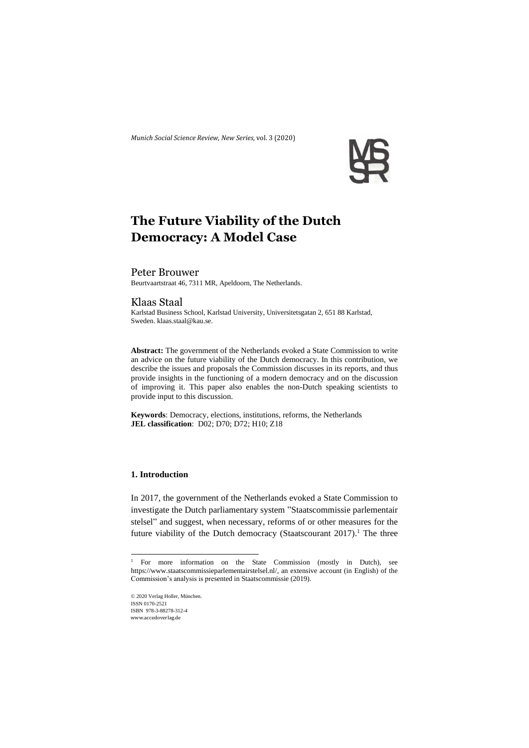*Munich Social Science Review*, *New Series,* vol. 3 (2020)



# **The Future Viability of the Dutch Democracy: A Model Case**

#### Peter Brouwer

Beurtvaartstraat 46, 7311 MR, Apeldoorn, The Netherlands.

# Klaas Staal

Karlstad Business School, Karlstad University, Universitetsgatan 2, 651 88 Karlstad, Sweden. klaas.staal@kau.se.

**Abstract:** The government of the Netherlands evoked a State Commission to write an advice on the future viability of the Dutch democracy. In this contribution, we describe the issues and proposals the Commission discusses in its reports, and thus provide insights in the functioning of a modern democracy and on the discussion of improving it. This paper also enables the non-Dutch speaking scientists to provide input to this discussion.

**Keywords**: Democracy, elections, institutions, reforms, the Netherlands **JEL classification**: D02; D70; D72; H10; Z18

# **1. Introduction**

In 2017, the government of the Netherlands evoked a State Commission to investigate the Dutch parliamentary system "Staatscommissie parlementair stelsel" and suggest, when necessary, reforms of or other measures for the future viability of the Dutch democracy (Staatscourant 2017).<sup>1</sup> The three

© 2020 Verlag Holler, München. ISSN 0170-2521 ISBN 978-3-88278-312-4 www.accedoverlag.de

<sup>&</sup>lt;sup>1</sup> For more information on the State Commission (mostly in Dutch), see [https://www.staatscommissieparlementairstelsel.nl/,](https://www.staatscommissieparlementairstelsel.nl/) an extensive account (in English) of the Commission's analysis is presented in Staatscommissie (2019).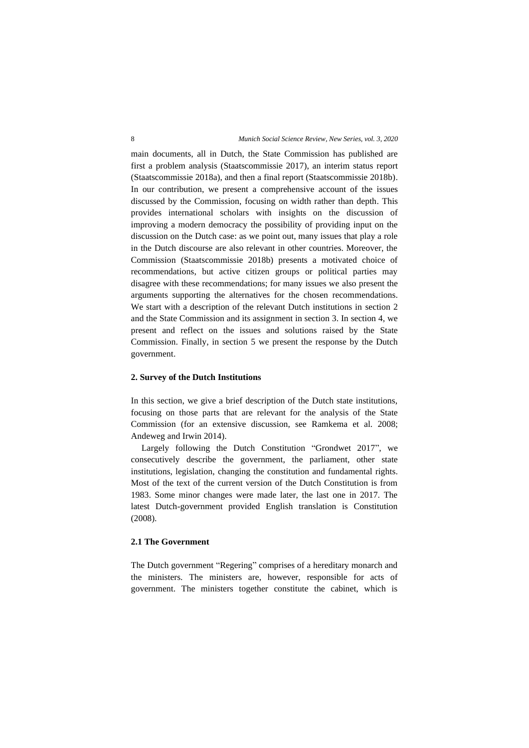main documents, all in Dutch, the State Commission has published are first a problem analysis (Staatscommissie 2017), an interim status report (Staatscommissie 2018a), and then a final report (Staatscommissie 2018b). In our contribution, we present a comprehensive account of the issues discussed by the Commission, focusing on width rather than depth. This provides international scholars with insights on the discussion of improving a modern democracy the possibility of providing input on the discussion on the Dutch case: as we point out, many issues that play a role in the Dutch discourse are also relevant in other countries. Moreover, the Commission (Staatscommissie 2018b) presents a motivated choice of recommendations, but active citizen groups or political parties may disagree with these recommendations; for many issues we also present the arguments supporting the alternatives for the chosen recommendations. We start with a description of the relevant Dutch institutions in section 2 and the State Commission and its assignment in section 3. In section 4, we present and reflect on the issues and solutions raised by the State Commission. Finally, in section 5 we present the response by the Dutch government.

## **2. Survey of the Dutch Institutions**

In this section, we give a brief description of the Dutch state institutions, focusing on those parts that are relevant for the analysis of the State Commission (for an extensive discussion, see Ramkema et al. 2008; Andeweg and Irwin 2014).

Largely following the Dutch Constitution "Grondwet 2017", we consecutively describe the government, the parliament, other state institutions, legislation, changing the constitution and fundamental rights. Most of the text of the current version of the Dutch Constitution is from 1983. Some minor changes were made later, the last one in 2017. The latest Dutch-government provided English translation is Constitution (2008).

# **2.1 The Government**

The Dutch government "Regering" comprises of a hereditary monarch and the ministers. The ministers are, however, responsible for acts of government. The ministers together constitute the cabinet, which is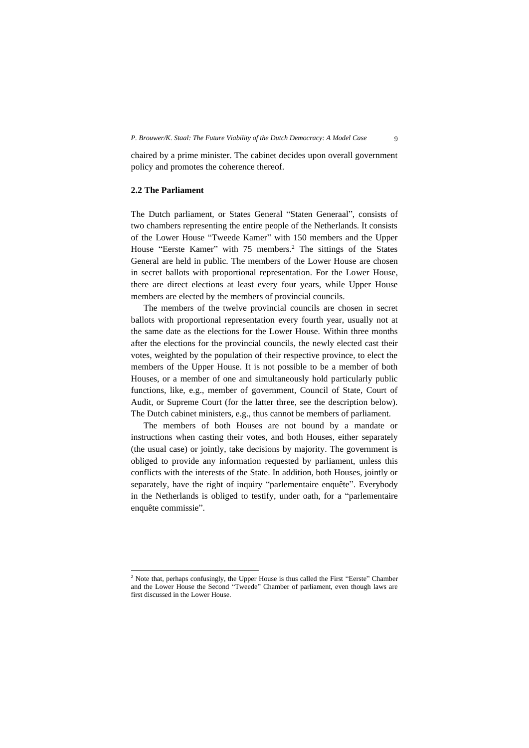chaired by a prime minister. The cabinet decides upon overall government policy and promotes the coherence thereof.

# **2.2 The Parliament**

The Dutch parliament, or States General "Staten Generaal", consists of two chambers representing the entire people of the Netherlands. It consists of the Lower House "Tweede Kamer" with 150 members and the Upper House "Eerste Kamer" with 75 members.<sup>2</sup> The sittings of the States General are held in public. The members of the Lower House are chosen in secret ballots with proportional representation. For the Lower House, there are direct elections at least every four years, while Upper House members are elected by the members of provincial councils.

The members of the twelve provincial councils are chosen in secret ballots with proportional representation every fourth year, usually not at the same date as the elections for the Lower House. Within three months after the elections for the provincial councils, the newly elected cast their votes, weighted by the population of their respective province, to elect the members of the Upper House. It is not possible to be a member of both Houses, or a member of one and simultaneously hold particularly public functions, like, e.g., member of government, Council of State, Court of Audit, or Supreme Court (for the latter three, see the description below). The Dutch cabinet ministers, e.g., thus cannot be members of parliament.

The members of both Houses are not bound by a mandate or instructions when casting their votes, and both Houses, either separately (the usual case) or jointly, take decisions by majority. The government is obliged to provide any information requested by parliament, unless this conflicts with the interests of the State. In addition, both Houses, jointly or separately, have the right of inquiry "parlementaire enquête". Everybody in the Netherlands is obliged to testify, under oath, for a "parlementaire enquête commissie".

<sup>&</sup>lt;sup>2</sup> Note that, perhaps confusingly, the Upper House is thus called the First "Eerste" Chamber and the Lower House the Second "Tweede" Chamber of parliament, even though laws are first discussed in the Lower House.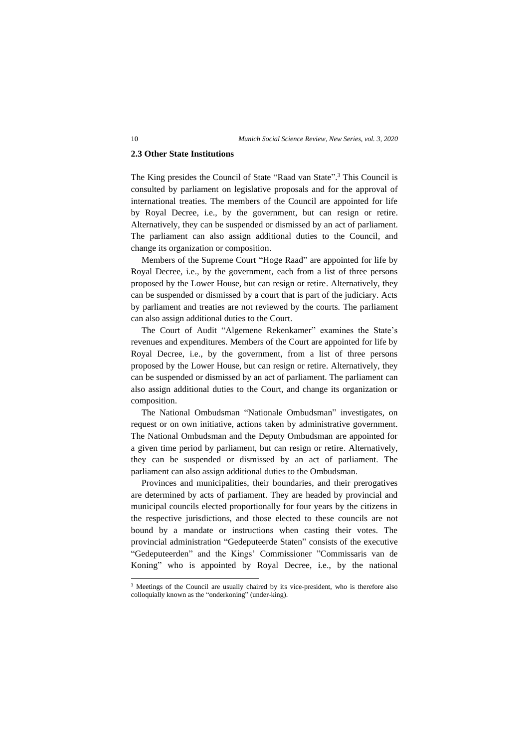#### **2.3 Other State Institutions**

The King presides the Council of State "Raad van State". <sup>3</sup> This Council is consulted by parliament on legislative proposals and for the approval of international treaties. The members of the Council are appointed for life by Royal Decree, i.e., by the government, but can resign or retire. Alternatively, they can be suspended or dismissed by an act of parliament. The parliament can also assign additional duties to the Council, and change its organization or composition.

Members of the Supreme Court "Hoge Raad" are appointed for life by Royal Decree, i.e., by the government, each from a list of three persons proposed by the Lower House, but can resign or retire. Alternatively, they can be suspended or dismissed by a court that is part of the judiciary. Acts by parliament and treaties are not reviewed by the courts. The parliament can also assign additional duties to the Court.

The Court of Audit "Algemene Rekenkamer" examines the State's revenues and expenditures. Members of the Court are appointed for life by Royal Decree, i.e., by the government, from a list of three persons proposed by the Lower House, but can resign or retire. Alternatively, they can be suspended or dismissed by an act of parliament. The parliament can also assign additional duties to the Court, and change its organization or composition.

The National Ombudsman "Nationale Ombudsman" investigates, on request or on own initiative, actions taken by administrative government. The National Ombudsman and the Deputy Ombudsman are appointed for a given time period by parliament, but can resign or retire. Alternatively, they can be suspended or dismissed by an act of parliament. The parliament can also assign additional duties to the Ombudsman.

Provinces and municipalities, their boundaries, and their prerogatives are determined by acts of parliament. They are headed by provincial and municipal councils elected proportionally for four years by the citizens in the respective jurisdictions, and those elected to these councils are not bound by a mandate or instructions when casting their votes. The provincial administration "Gedeputeerde Staten" consists of the executive "Gedeputeerden" and the Kings' Commissioner "Commissaris van de Koning" who is appointed by Royal Decree, i.e., by the national

<sup>3</sup> Meetings of the Council are usually chaired by its vice-president, who is therefore also colloquially known as the "onderkoning" (under-king).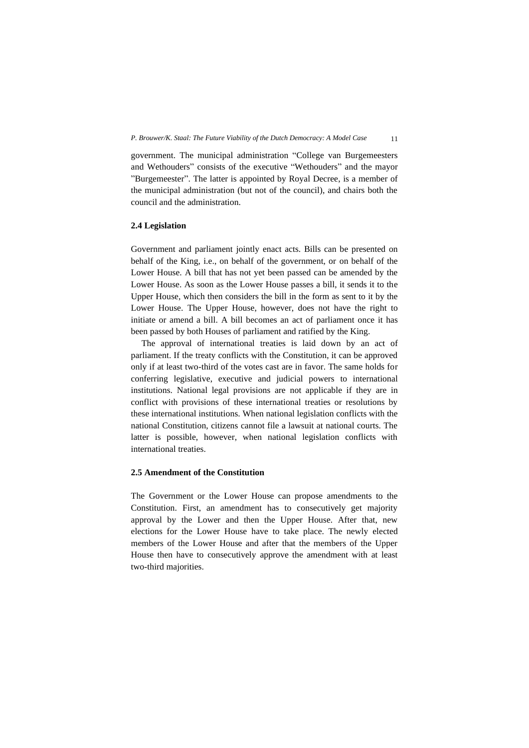government. The municipal administration "College van Burgemeesters and Wethouders" consists of the executive "Wethouders" and the mayor "Burgemeester". The latter is appointed by Royal Decree, is a member of the municipal administration (but not of the council), and chairs both the council and the administration.

#### **2.4 Legislation**

Government and parliament jointly enact acts. Bills can be presented on behalf of the King, i.e., on behalf of the government, or on behalf of the Lower House. A bill that has not yet been passed can be amended by the Lower House. As soon as the Lower House passes a bill, it sends it to the Upper House, which then considers the bill in the form as sent to it by the Lower House. The Upper House, however, does not have the right to initiate or amend a bill. A bill becomes an act of parliament once it has been passed by both Houses of parliament and ratified by the King.

The approval of international treaties is laid down by an act of parliament. If the treaty conflicts with the Constitution, it can be approved only if at least two-third of the votes cast are in favor. The same holds for conferring legislative, executive and judicial powers to international institutions. National legal provisions are not applicable if they are in conflict with provisions of these international treaties or resolutions by these international institutions. When national legislation conflicts with the national Constitution, citizens cannot file a lawsuit at national courts. The latter is possible, however, when national legislation conflicts with international treaties.

# **2.5 Amendment of the Constitution**

The Government or the Lower House can propose amendments to the Constitution. First, an amendment has to consecutively get majority approval by the Lower and then the Upper House. After that, new elections for the Lower House have to take place. The newly elected members of the Lower House and after that the members of the Upper House then have to consecutively approve the amendment with at least two-third majorities.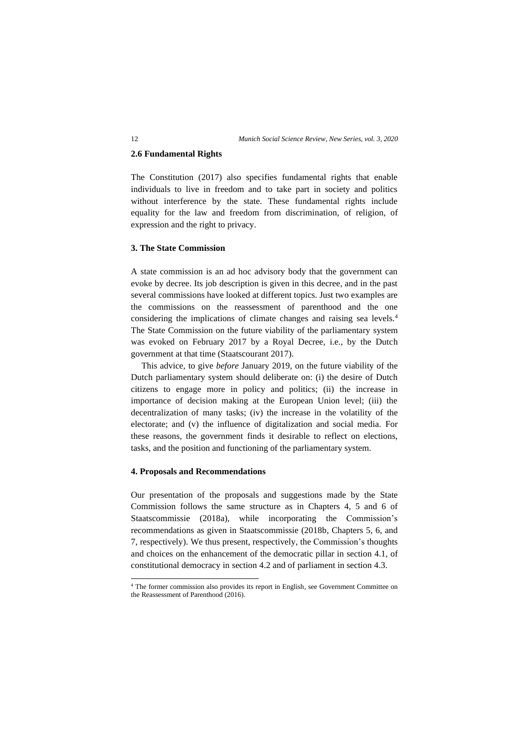#### **2.6 Fundamental Rights**

The Constitution (2017) also specifies fundamental rights that enable individuals to live in freedom and to take part in society and politics without interference by the state. These fundamental rights include equality for the law and freedom from discrimination, of religion, of expression and the right to privacy.

## **3. The State Commission**

A state commission is an ad hoc advisory body that the government can evoke by decree. Its job description is given in this decree, and in the past several commissions have looked at different topics. Just two examples are the commissions on the reassessment of parenthood and the one considering the implications of climate changes and raising sea levels.<sup>4</sup> The State Commission on the future viability of the parliamentary system was evoked on February 2017 by a Royal Decree, i.e., by the Dutch government at that time (Staatscourant 2017).

This advice, to give *before* January 2019, on the future viability of the Dutch parliamentary system should deliberate on: (i) the desire of Dutch citizens to engage more in policy and politics; (ii) the increase in importance of decision making at the European Union level; (iii) the decentralization of many tasks; (iv) the increase in the volatility of the electorate; and (v) the influence of digitalization and social media. For these reasons, the government finds it desirable to reflect on elections, tasks, and the position and functioning of the parliamentary system.

## **4. Proposals and Recommendations**

Our presentation of the proposals and suggestions made by the State Commission follows the same structure as in Chapters 4, 5 and 6 of Staatscommissie (2018a), while incorporating the Commission's recommendations as given in Staatscommissie (2018b, Chapters 5, 6, and 7, respectively). We thus present, respectively, the Commission's thoughts and choices on the enhancement of the democratic pillar in section 4.1, of constitutional democracy in section 4.2 and of parliament in section 4.3.

<sup>4</sup> The former commission also provides its report in English, see Government Committee on the Reassessment of Parenthood (2016).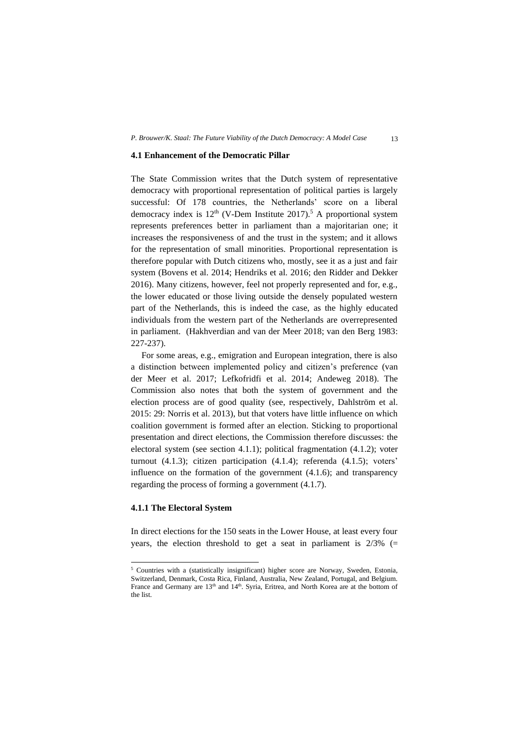#### **4.1 Enhancement of the Democratic Pillar**

The State Commission writes that the Dutch system of representative democracy with proportional representation of political parties is largely successful: Of 178 countries, the Netherlands' score on a liberal democracy index is  $12<sup>th</sup>$  (V-Dem Institute 2017).<sup>5</sup> A proportional system represents preferences better in parliament than a majoritarian one; it increases the responsiveness of and the trust in the system; and it allows for the representation of small minorities. Proportional representation is therefore popular with Dutch citizens who, mostly, see it as a just and fair system (Bovens et al. 2014; Hendriks et al. 2016; den Ridder and Dekker 2016). Many citizens, however, feel not properly represented and for, e.g., the lower educated or those living outside the densely populated western part of the Netherlands, this is indeed the case, as the highly educated individuals from the western part of the Netherlands are overrepresented in parliament. (Hakhverdian and van der Meer 2018; van den Berg 1983: 227-237).

For some areas, e.g., emigration and European integration, there is also a distinction between implemented policy and citizen's preference (van der Meer et al. 2017; Lefkofridfi et al. 2014; Andeweg 2018). The Commission also notes that both the system of government and the election process are of good quality (see, respectively, Dahlström et al. 2015: 29: Norris et al. 2013), but that voters have little influence on which coalition government is formed after an election. Sticking to proportional presentation and direct elections, the Commission therefore discusses: the electoral system (see section 4.1.1); political fragmentation (4.1.2); voter turnout (4.1.3); citizen participation (4.1.4); referenda (4.1.5); voters' influence on the formation of the government (4.1.6); and transparency regarding the process of forming a government (4.1.7).

#### **4.1.1 The Electoral System**

In direct elections for the 150 seats in the Lower House, at least every four years, the election threshold to get a seat in parliament is  $2/3\%$  (=

<sup>5</sup> Countries with a (statistically insignificant) higher score are Norway, Sweden, Estonia, Switzerland, Denmark, Costa Rica, Finland, Australia, New Zealand, Portugal, and Belgium. France and Germany are  $13<sup>th</sup>$  and  $14<sup>th</sup>$ . Syria, Eritrea, and North Korea are at the bottom of the list.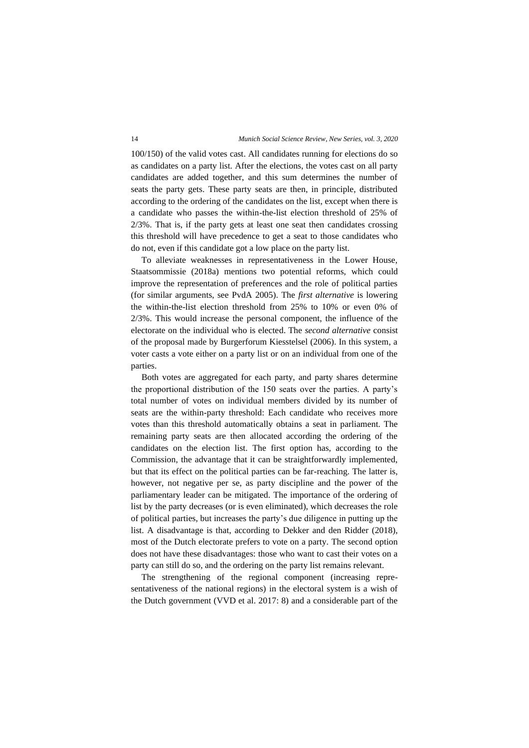100/150) of the valid votes cast. All candidates running for elections do so as candidates on a party list. After the elections, the votes cast on all party candidates are added together, and this sum determines the number of seats the party gets. These party seats are then, in principle, distributed according to the ordering of the candidates on the list, except when there is a candidate who passes the within-the-list election threshold of 25% of 2/3%. That is, if the party gets at least one seat then candidates crossing this threshold will have precedence to get a seat to those candidates who do not, even if this candidate got a low place on the party list.

To alleviate weaknesses in representativeness in the Lower House, Staatsommissie (2018a) mentions two potential reforms, which could improve the representation of preferences and the role of political parties (for similar arguments, see PvdA 2005). The *first alternative* is lowering the within-the-list election threshold from 25% to 10% or even 0% of 2/3%. This would increase the personal component, the influence of the electorate on the individual who is elected. The *second alternative* consist of the proposal made by Burgerforum Kiesstelsel (2006). In this system, a voter casts a vote either on a party list or on an individual from one of the parties.

Both votes are aggregated for each party, and party shares determine the proportional distribution of the 150 seats over the parties. A party's total number of votes on individual members divided by its number of seats are the within-party threshold: Each candidate who receives more votes than this threshold automatically obtains a seat in parliament. The remaining party seats are then allocated according the ordering of the candidates on the election list. The first option has, according to the Commission, the advantage that it can be straightforwardly implemented, but that its effect on the political parties can be far-reaching. The latter is, however, not negative per se, as party discipline and the power of the parliamentary leader can be mitigated. The importance of the ordering of list by the party decreases (or is even eliminated), which decreases the role of political parties, but increases the party's due diligence in putting up the list. A disadvantage is that, according to Dekker and den Ridder (2018), most of the Dutch electorate prefers to vote on a party. The second option does not have these disadvantages: those who want to cast their votes on a party can still do so, and the ordering on the party list remains relevant.

The strengthening of the regional component (increasing representativeness of the national regions) in the electoral system is a wish of the Dutch government (VVD et al. 2017: 8) and a considerable part of the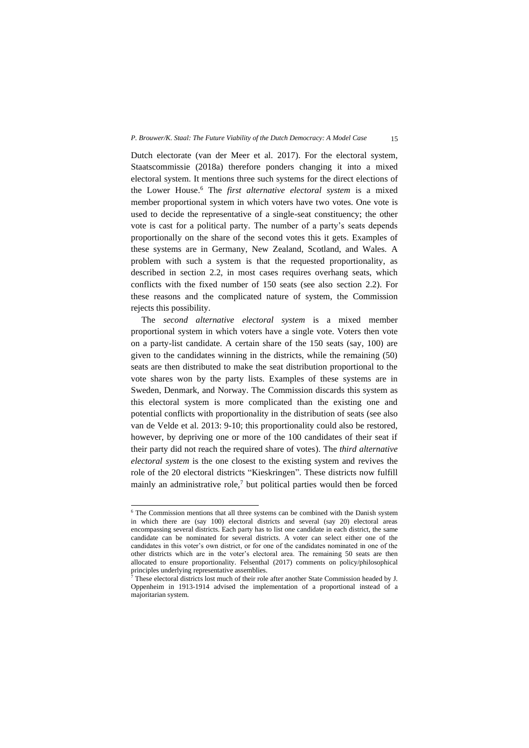#### *P. Brouwer/K. Staal: The Future Viability of the Dutch Democracy: A Model Case* 15

Dutch electorate (van der Meer et al. 2017). For the electoral system, Staatscommissie (2018a) therefore ponders changing it into a mixed electoral system. It mentions three such systems for the direct elections of the Lower House. <sup>6</sup> The *first alternative electoral system* is a mixed member proportional system in which voters have two votes. One vote is used to decide the representative of a single-seat constituency; the other vote is cast for a political party. The number of a party's seats depends proportionally on the share of the second votes this it gets. Examples of these systems are in Germany, New Zealand, Scotland, and Wales. A problem with such a system is that the requested proportionality, as described in section 2.2, in most cases requires overhang seats, which conflicts with the fixed number of 150 seats (see also section 2.2). For these reasons and the complicated nature of system, the Commission rejects this possibility.

The *second alternative electoral system* is a mixed member proportional system in which voters have a single vote. Voters then vote on a party-list candidate. A certain share of the 150 seats (say, 100) are given to the candidates winning in the districts, while the remaining (50) seats are then distributed to make the seat distribution proportional to the vote shares won by the party lists. Examples of these systems are in Sweden, Denmark, and Norway. The Commission discards this system as this electoral system is more complicated than the existing one and potential conflicts with proportionality in the distribution of seats (see also van de Velde et al. 2013: 9-10; this proportionality could also be restored, however, by depriving one or more of the 100 candidates of their seat if their party did not reach the required share of votes). The *third alternative electoral system* is the one closest to the existing system and revives the role of the 20 electoral districts "Kieskringen". These districts now fulfill mainly an administrative role, $7$  but political parties would then be forced

<sup>&</sup>lt;sup>6</sup> The Commission mentions that all three systems can be combined with the Danish system in which there are (say 100) electoral districts and several (say 20) electoral areas encompassing several districts. Each party has to list one candidate in each district, the same candidate can be nominated for several districts. A voter can select either one of the candidates in this voter's own district, or for one of the candidates nominated in one of the other districts which are in the voter's electoral area. The remaining 50 seats are then allocated to ensure proportionality. Felsenthal (2017) comments on policy/philosophical principles underlying representative assemblies.

<sup>7</sup> These electoral districts lost much of their role after another State Commission headed by J. Oppenheim in 1913-1914 advised the implementation of a proportional instead of a majoritarian system.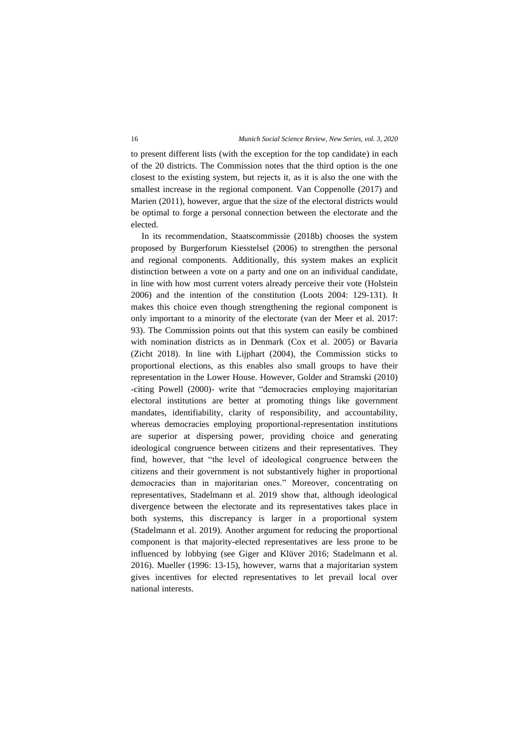to present different lists (with the exception for the top candidate) in each of the 20 districts. The Commission notes that the third option is the one closest to the existing system, but rejects it, as it is also the one with the smallest increase in the regional component. Van Coppenolle (2017) and Marien (2011), however, argue that the size of the electoral districts would be optimal to forge a personal connection between the electorate and the elected.

In its recommendation, Staatscommissie (2018b) chooses the system proposed by Burgerforum Kiesstelsel (2006) to strengthen the personal and regional components. Additionally, this system makes an explicit distinction between a vote on a party and one on an individual candidate, in line with how most current voters already perceive their vote (Holstein 2006) and the intention of the constitution (Loots 2004: 129-131). It makes this choice even though strengthening the regional component is only important to a minority of the electorate (van der Meer et al. 2017: 93). The Commission points out that this system can easily be combined with nomination districts as in Denmark (Cox et al. 2005) or Bavaria (Zicht 2018). In line with Lijphart (2004), the Commission sticks to proportional elections, as this enables also small groups to have their representation in the Lower House. However, Golder and Stramski (2010) -citing Powell (2000)- write that "democracies employing majoritarian electoral institutions are better at promoting things like government mandates, identifiability, clarity of responsibility, and accountability, whereas democracies employing proportional-representation institutions are superior at dispersing power, providing choice and generating ideological congruence between citizens and their representatives. They find, however, that "the level of ideological congruence between the citizens and their government is not substantively higher in proportional democracies than in majoritarian ones." Moreover, concentrating on representatives, Stadelmann et al. 2019 show that, although ideological divergence between the electorate and its representatives takes place in both systems, this discrepancy is larger in a proportional system (Stadelmann et al. 2019). Another argument for reducing the proportional component is that majority-elected representatives are less prone to be influenced by lobbying (see Giger and Klüver 2016; Stadelmann et al. 2016). Mueller (1996: 13-15), however, warns that a majoritarian system gives incentives for elected representatives to let prevail local over national interests.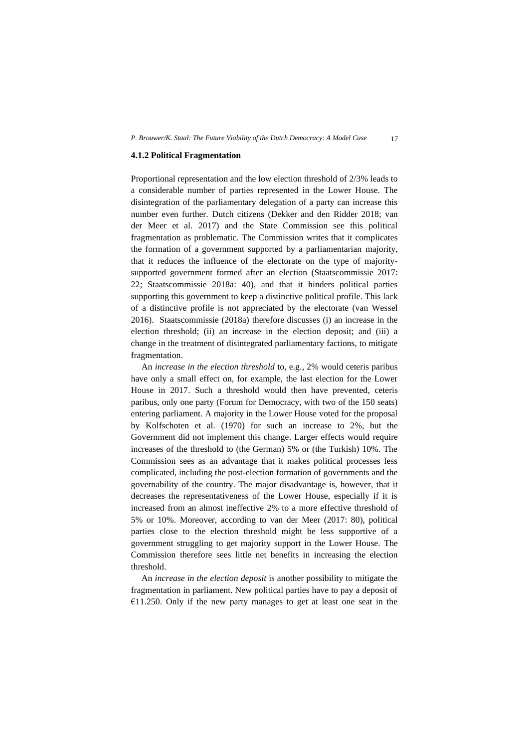#### **4.1.2 Political Fragmentation**

Proportional representation and the low election threshold of 2/3% leads to a considerable number of parties represented in the Lower House. The disintegration of the parliamentary delegation of a party can increase this number even further. Dutch citizens (Dekker and den Ridder 2018; van der Meer et al. 2017) and the State Commission see this political fragmentation as problematic. The Commission writes that it complicates the formation of a government supported by a parliamentarian majority, that it reduces the influence of the electorate on the type of majoritysupported government formed after an election (Staatscommissie 2017: 22; Staatscommissie 2018a: 40), and that it hinders political parties supporting this government to keep a distinctive political profile. This lack of a distinctive profile is not appreciated by the electorate (van Wessel 2016). Staatscommissie (2018a) therefore discusses (i) an increase in the election threshold; (ii) an increase in the election deposit; and (iii) a change in the treatment of disintegrated parliamentary factions, to mitigate fragmentation.

An *increase in the election threshold* to, e.g., 2% would ceteris paribus have only a small effect on, for example, the last election for the Lower House in 2017. Such a threshold would then have prevented, ceteris paribus, only one party (Forum for Democracy, with two of the 150 seats) entering parliament. A majority in the Lower House voted for the proposal by Kolfschoten et al. (1970) for such an increase to 2%, but the Government did not implement this change. Larger effects would require increases of the threshold to (the German) 5% or (the Turkish) 10%. The Commission sees as an advantage that it makes political processes less complicated, including the post-election formation of governments and the governability of the country. The major disadvantage is, however, that it decreases the representativeness of the Lower House, especially if it is increased from an almost ineffective 2% to a more effective threshold of 5% or 10%. Moreover, according to van der Meer (2017: 80), political parties close to the election threshold might be less supportive of a government struggling to get majority support in the Lower House. The Commission therefore sees little net benefits in increasing the election threshold.

An *increase in the election deposit* is another possibility to mitigate the fragmentation in parliament. New political parties have to pay a deposit of €11.250. Only if the new party manages to get at least one seat in the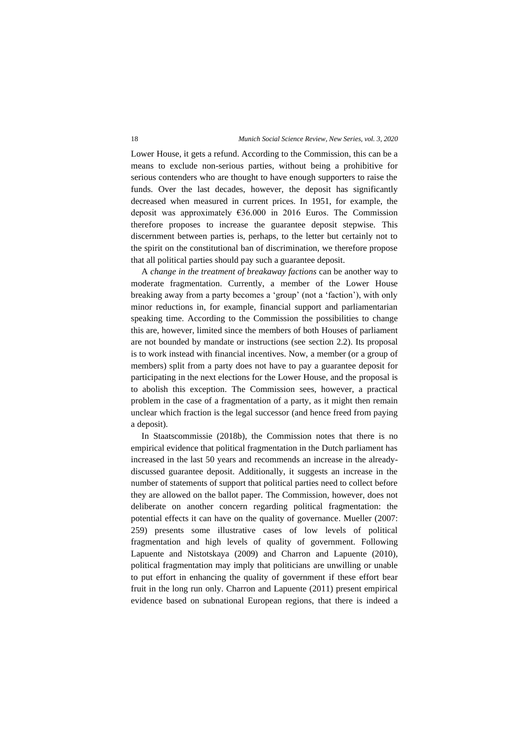Lower House, it gets a refund. According to the Commission, this can be a means to exclude non-serious parties, without being a prohibitive for serious contenders who are thought to have enough supporters to raise the funds. Over the last decades, however, the deposit has significantly decreased when measured in current prices. In 1951, for example, the deposit was approximately €36.000 in 2016 Euros. The Commission therefore proposes to increase the guarantee deposit stepwise. This discernment between parties is, perhaps, to the letter but certainly not to the spirit on the constitutional ban of discrimination, we therefore propose that all political parties should pay such a guarantee deposit.

A *change in the treatment of breakaway factions* can be another way to moderate fragmentation. Currently, a member of the Lower House breaking away from a party becomes a 'group' (not a 'faction'), with only minor reductions in, for example, financial support and parliamentarian speaking time. According to the Commission the possibilities to change this are, however, limited since the members of both Houses of parliament are not bounded by mandate or instructions (see section 2.2). Its proposal is to work instead with financial incentives. Now, a member (or a group of members) split from a party does not have to pay a guarantee deposit for participating in the next elections for the Lower House, and the proposal is to abolish this exception. The Commission sees, however, a practical problem in the case of a fragmentation of a party, as it might then remain unclear which fraction is the legal successor (and hence freed from paying a deposit).

In Staatscommissie (2018b), the Commission notes that there is no empirical evidence that political fragmentation in the Dutch parliament has increased in the last 50 years and recommends an increase in the alreadydiscussed guarantee deposit. Additionally, it suggests an increase in the number of statements of support that political parties need to collect before they are allowed on the ballot paper. The Commission, however, does not deliberate on another concern regarding political fragmentation: the potential effects it can have on the quality of governance. Mueller (2007: 259) presents some illustrative cases of low levels of political fragmentation and high levels of quality of government. Following Lapuente and Nistotskaya (2009) and Charron and Lapuente (2010), political fragmentation may imply that politicians are unwilling or unable to put effort in enhancing the quality of government if these effort bear fruit in the long run only. Charron and Lapuente (2011) present empirical evidence based on subnational European regions, that there is indeed a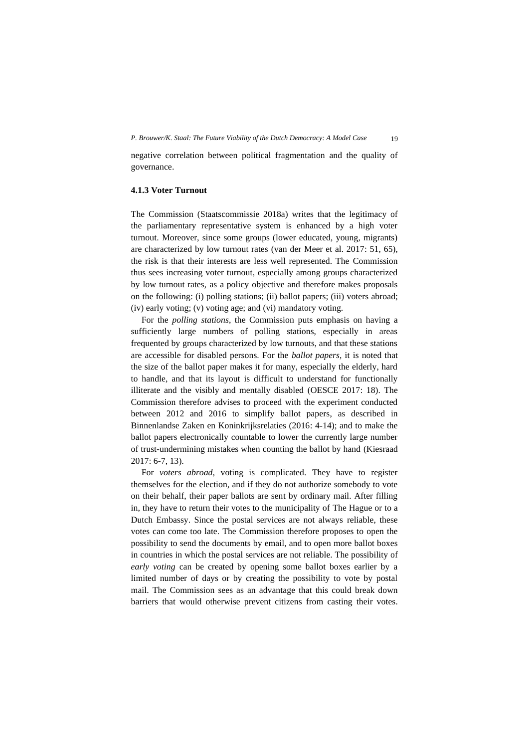negative correlation between political fragmentation and the quality of governance.

# **4.1.3 Voter Turnout**

The Commission (Staatscommissie 2018a) writes that the legitimacy of the parliamentary representative system is enhanced by a high voter turnout. Moreover, since some groups (lower educated, young, migrants) are characterized by low turnout rates (van der Meer et al. 2017: 51, 65), the risk is that their interests are less well represented. The Commission thus sees increasing voter turnout, especially among groups characterized by low turnout rates, as a policy objective and therefore makes proposals on the following: (i) polling stations; (ii) ballot papers; (iii) voters abroad; (iv) early voting; (v) voting age; and (vi) mandatory voting.

For the *polling stations*, the Commission puts emphasis on having a sufficiently large numbers of polling stations, especially in areas frequented by groups characterized by low turnouts, and that these stations are accessible for disabled persons. For the *ballot papers*, it is noted that the size of the ballot paper makes it for many, especially the elderly, hard to handle, and that its layout is difficult to understand for functionally illiterate and the visibly and mentally disabled (OESCE 2017: 18). The Commission therefore advises to proceed with the experiment conducted between 2012 and 2016 to simplify ballot papers, as described in Binnenlandse Zaken en Koninkrijksrelaties (2016: 4-14); and to make the ballot papers electronically countable to lower the currently large number of trust-undermining mistakes when counting the ballot by hand (Kiesraad 2017: 6-7, 13).

For *voters abroad*, voting is complicated. They have to register themselves for the election, and if they do not authorize somebody to vote on their behalf, their paper ballots are sent by ordinary mail. After filling in, they have to return their votes to the municipality of The Hague or to a Dutch Embassy. Since the postal services are not always reliable, these votes can come too late. The Commission therefore proposes to open the possibility to send the documents by email, and to open more ballot boxes in countries in which the postal services are not reliable. The possibility of *early voting* can be created by opening some ballot boxes earlier by a limited number of days or by creating the possibility to vote by postal mail. The Commission sees as an advantage that this could break down barriers that would otherwise prevent citizens from casting their votes.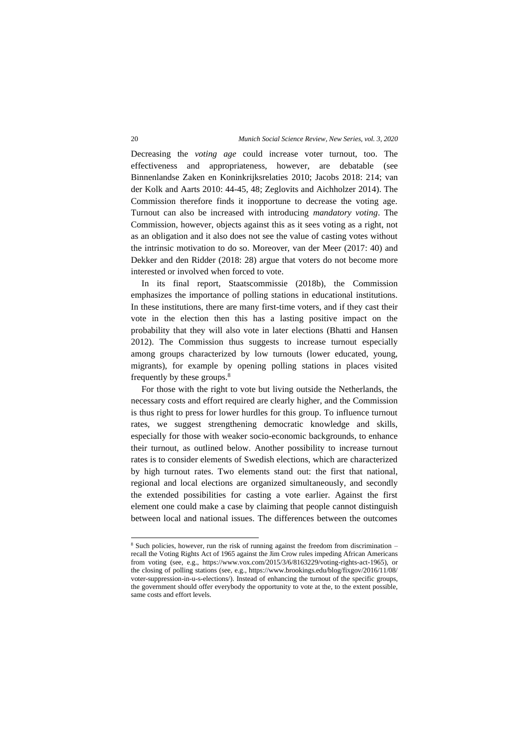Decreasing the *voting age* could increase voter turnout, too. The effectiveness and appropriateness, however, are debatable (see Binnenlandse Zaken en Koninkrijksrelaties 2010; Jacobs 2018: 214; van der Kolk and Aarts 2010: 44-45, 48; Zeglovits and Aichholzer 2014). The Commission therefore finds it inopportune to decrease the voting age. Turnout can also be increased with introducing *mandatory voting*. The Commission, however, objects against this as it sees voting as a right, not as an obligation and it also does not see the value of casting votes without the intrinsic motivation to do so. Moreover, van der Meer (2017: 40) and Dekker and den Ridder (2018: 28) argue that voters do not become more interested or involved when forced to vote.

In its final report, Staatscommissie (2018b), the Commission emphasizes the importance of polling stations in educational institutions. In these institutions, there are many first-time voters, and if they cast their vote in the election then this has a lasting positive impact on the probability that they will also vote in later elections (Bhatti and Hansen 2012). The Commission thus suggests to increase turnout especially among groups characterized by low turnouts (lower educated, young, migrants), for example by opening polling stations in places visited frequently by these groups.<sup>8</sup>

For those with the right to vote but living outside the Netherlands, the necessary costs and effort required are clearly higher, and the Commission is thus right to press for lower hurdles for this group. To influence turnout rates, we suggest strengthening democratic knowledge and skills, especially for those with weaker socio-economic backgrounds, to enhance their turnout, as outlined below. Another possibility to increase turnout rates is to consider elements of Swedish elections, which are characterized by high turnout rates. Two elements stand out: the first that national, regional and local elections are organized simultaneously, and secondly the extended possibilities for casting a vote earlier. Against the first element one could make a case by claiming that people cannot distinguish between local and national issues. The differences between the outcomes

<sup>&</sup>lt;sup>8</sup> Such policies, however, run the risk of running against the freedom from discrimination recall the Voting Rights Act of 1965 against the Jim Crow rules impeding African Americans from voting (see, e.g., [https://www.vox.com/2015/3/6/8163229/voting-rights-act-1965\)](https://www.vox.com/2015/3/6/8163229/voting-rights-act-1965), or the closing of polling stations (see, e.g., [https://www.brookings.edu/blog/fixgov/2016/11/08/](https://www.brookings.edu/blog/fixgov/2016/11/08/%20voter-suppression-in-u-s-elections/) [voter-suppression-in-u-s-elections/\)](https://www.brookings.edu/blog/fixgov/2016/11/08/%20voter-suppression-in-u-s-elections/). Instead of enhancing the turnout of the specific groups, the government should offer everybody the opportunity to vote at the, to the extent possible, same costs and effort levels.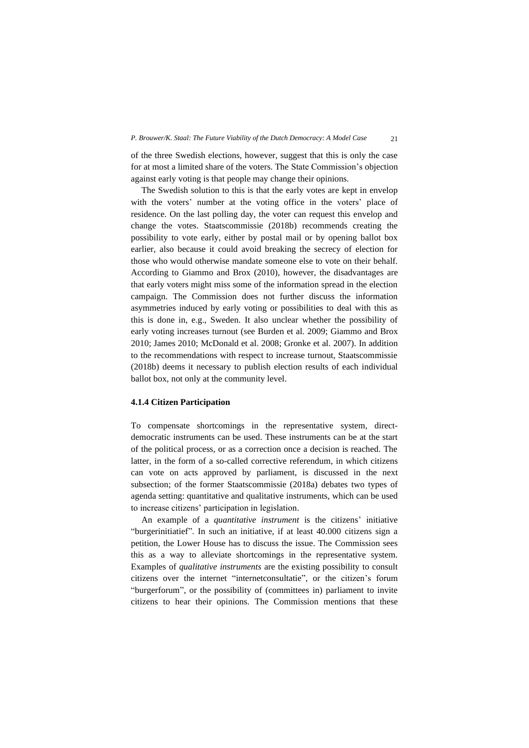of the three Swedish elections, however, suggest that this is only the case for at most a limited share of the voters. The State Commission's objection against early voting is that people may change their opinions.

The Swedish solution to this is that the early votes are kept in envelop with the voters' number at the voting office in the voters' place of residence. On the last polling day, the voter can request this envelop and change the votes. Staatscommissie (2018b) recommends creating the possibility to vote early, either by postal mail or by opening ballot box earlier, also because it could avoid breaking the secrecy of election for those who would otherwise mandate someone else to vote on their behalf. According to Giammo and Brox (2010), however, the disadvantages are that early voters might miss some of the information spread in the election campaign. The Commission does not further discuss the information asymmetries induced by early voting or possibilities to deal with this as this is done in, e.g., Sweden. It also unclear whether the possibility of early voting increases turnout (see Burden et al. 2009; Giammo and Brox 2010; James 2010; McDonald et al. 2008; Gronke et al. 2007). In addition to the recommendations with respect to increase turnout, Staatscommissie (2018b) deems it necessary to publish election results of each individual ballot box, not only at the community level.

# **4.1.4 Citizen Participation**

To compensate shortcomings in the representative system, directdemocratic instruments can be used. These instruments can be at the start of the political process, or as a correction once a decision is reached. The latter, in the form of a so-called corrective referendum, in which citizens can vote on acts approved by parliament, is discussed in the next subsection; of the former Staatscommissie (2018a) debates two types of agenda setting: quantitative and qualitative instruments, which can be used to increase citizens' participation in legislation.

An example of a *quantitative instrument* is the citizens' initiative "burgerinitiatief". In such an initiative, if at least 40.000 citizens sign a petition, the Lower House has to discuss the issue. The Commission sees this as a way to alleviate shortcomings in the representative system. Examples of *qualitative instruments* are the existing possibility to consult citizens over the internet "internetconsultatie", or the citizen's forum "burgerforum", or the possibility of (committees in) parliament to invite citizens to hear their opinions. The Commission mentions that these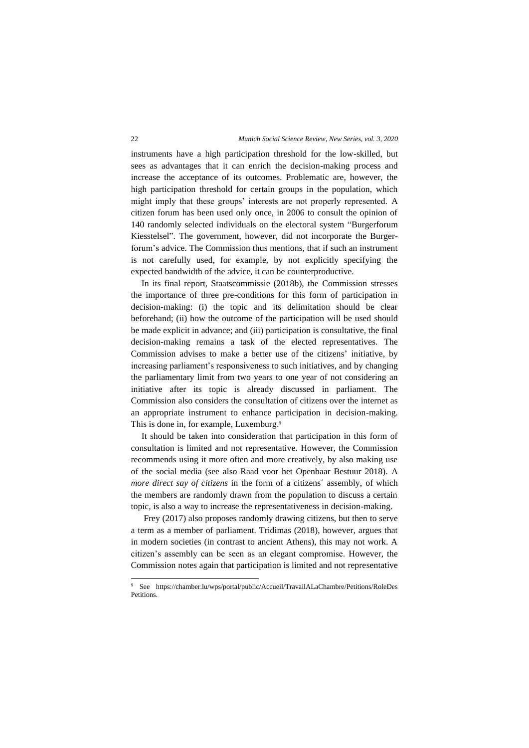instruments have a high participation threshold for the low-skilled, but sees as advantages that it can enrich the decision-making process and increase the acceptance of its outcomes. Problematic are, however, the high participation threshold for certain groups in the population, which might imply that these groups' interests are not properly represented. A citizen forum has been used only once, in 2006 to consult the opinion of 140 randomly selected individuals on the electoral system "Burgerforum Kiesstelsel". The government, however, did not incorporate the Burgerforum's advice. The Commission thus mentions, that if such an instrument is not carefully used, for example, by not explicitly specifying the expected bandwidth of the advice, it can be counterproductive.

In its final report, Staatscommissie (2018b), the Commission stresses the importance of three pre-conditions for this form of participation in decision-making: (i) the topic and its delimitation should be clear beforehand; (ii) how the outcome of the participation will be used should be made explicit in advance; and (iii) participation is consultative, the final decision-making remains a task of the elected representatives. The Commission advises to make a better use of the citizens' initiative, by increasing parliament's responsiveness to such initiatives, and by changing the parliamentary limit from two years to one year of not considering an initiative after its topic is already discussed in parliament. The Commission also considers the consultation of citizens over the internet as an appropriate instrument to enhance participation in decision-making. This is done in, for example, Luxemburg.<sup>9</sup>

It should be taken into consideration that participation in this form of consultation is limited and not representative. However, the Commission recommends using it more often and more creatively, by also making use of the social media (see also Raad voor het Openbaar Bestuur 2018). A *more direct say of citizens* in the form of a citizens´ assembly, of which the members are randomly drawn from the population to discuss a certain topic, is also a way to increase the representativeness in decision-making.

Frey (2017) also proposes randomly drawing citizens, but then to serve a term as a member of parliament. Tridimas (2018), however, argues that in modern societies (in contrast to ancient Athens), this may not work. A citizen's assembly can be seen as an elegant compromise. However, the Commission notes again that participation is limited and not representative

<sup>9</sup> See [https://chamber.lu/wps/portal/public/Accueil/TravailALaChambre/Petitions/RoleDes](https://chamber.lu/wps/portal/public/Accueil/TravailALaChambre/Petitions/RoleDes%20Petitions) [Petitions.](https://chamber.lu/wps/portal/public/Accueil/TravailALaChambre/Petitions/RoleDes%20Petitions)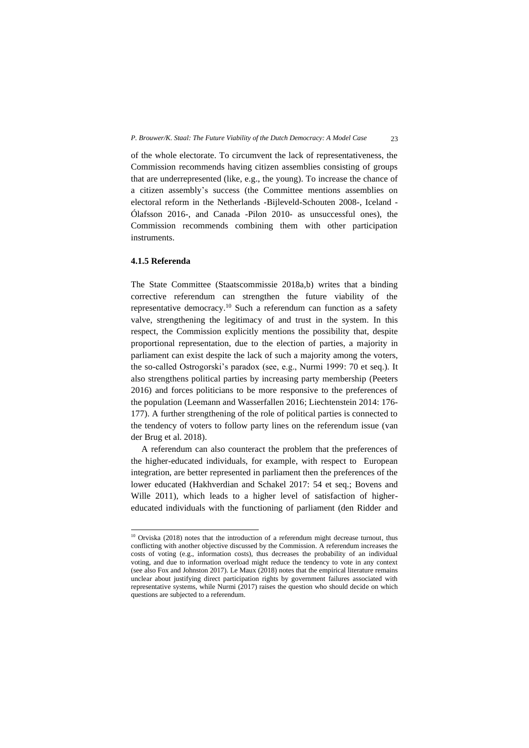of the whole electorate. To circumvent the lack of representativeness, the Commission recommends having citizen assemblies consisting of groups that are underrepresented (like, e.g., the young). To increase the chance of a citizen assembly's success (the Committee mentions assemblies on electoral reform in the Netherlands -Bijleveld-Schouten 2008-, Iceland - Ólafsson 2016-, and Canada -Pilon 2010- as unsuccessful ones), the Commission recommends combining them with other participation instruments.

## **4.1.5 Referenda**

The State Committee (Staatscommissie 2018a,b) writes that a binding corrective referendum can strengthen the future viability of the representative democracy.<sup>10</sup> Such a referendum can function as a safety valve, strengthening the legitimacy of and trust in the system. In this respect, the Commission explicitly mentions the possibility that, despite proportional representation, due to the election of parties, a majority in parliament can exist despite the lack of such a majority among the voters, the so-called Ostrogorski's paradox (see, e.g., Nurmi 1999: 70 et seq.). It also strengthens political parties by increasing party membership (Peeters 2016) and forces politicians to be more responsive to the preferences of the population (Leemann and Wasserfallen 2016; Liechtenstein 2014: 176- 177). A further strengthening of the role of political parties is connected to the tendency of voters to follow party lines on the referendum issue (van der Brug et al. 2018).

A referendum can also counteract the problem that the preferences of the higher-educated individuals, for example, with respect to European integration, are better represented in parliament then the preferences of the lower educated (Hakhverdian and Schakel 2017: 54 et seq.; Bovens and Wille 2011), which leads to a higher level of satisfaction of highereducated individuals with the functioning of parliament (den Ridder and

<sup>&</sup>lt;sup>10</sup> Orviska (2018) notes that the introduction of a referendum might decrease turnout, thus conflicting with another objective discussed by the Commission. A referendum increases the costs of voting (e.g., information costs), thus decreases the probability of an individual voting, and due to information overload might reduce the tendency to vote in any context (see also Fox and Johnston 2017). Le Maux (2018) notes that the empirical literature remains unclear about justifying direct participation rights by government failures associated with representative systems, while Nurmi (2017) raises the question who should decide on which questions are subjected to a referendum.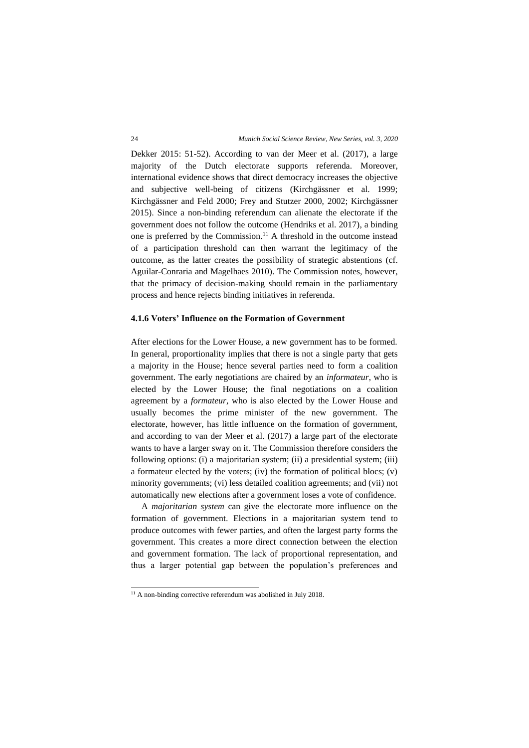Dekker 2015: 51-52). According to van der Meer et al. (2017), a large majority of the Dutch electorate supports referenda. Moreover, international evidence shows that direct democracy increases the objective and subjective well-being of citizens (Kirchgässner et al. 1999; Kirchgässner and Feld 2000; Frey and Stutzer 2000, 2002; Kirchgässner 2015). Since a non-binding referendum can alienate the electorate if the government does not follow the outcome (Hendriks et al. 2017), a binding one is preferred by the Commission. <sup>11</sup> A threshold in the outcome instead of a participation threshold can then warrant the legitimacy of the outcome, as the latter creates the possibility of strategic abstentions (cf. Aguilar-Conraria and Magelhaes 2010). The Commission notes, however, that the primacy of decision-making should remain in the parliamentary process and hence rejects binding initiatives in referenda.

#### **4.1.6 Voters' Influence on the Formation of Government**

After elections for the Lower House, a new government has to be formed. In general, proportionality implies that there is not a single party that gets a majority in the House; hence several parties need to form a coalition government. The early negotiations are chaired by an *informateur*, who is elected by the Lower House; the final negotiations on a coalition agreement by a *formateur*, who is also elected by the Lower House and usually becomes the prime minister of the new government. The electorate, however, has little influence on the formation of government, and according to van der Meer et al. (2017) a large part of the electorate wants to have a larger sway on it. The Commission therefore considers the following options: (i) a majoritarian system; (ii) a presidential system; (iii) a formateur elected by the voters; (iv) the formation of political blocs; (v) minority governments; (vi) less detailed coalition agreements; and (vii) not automatically new elections after a government loses a vote of confidence.

A *majoritarian system* can give the electorate more influence on the formation of government. Elections in a majoritarian system tend to produce outcomes with fewer parties, and often the largest party forms the government. This creates a more direct connection between the election and government formation. The lack of proportional representation, and thus a larger potential gap between the population's preferences and

 $11$  A non-binding corrective referendum was abolished in July 2018.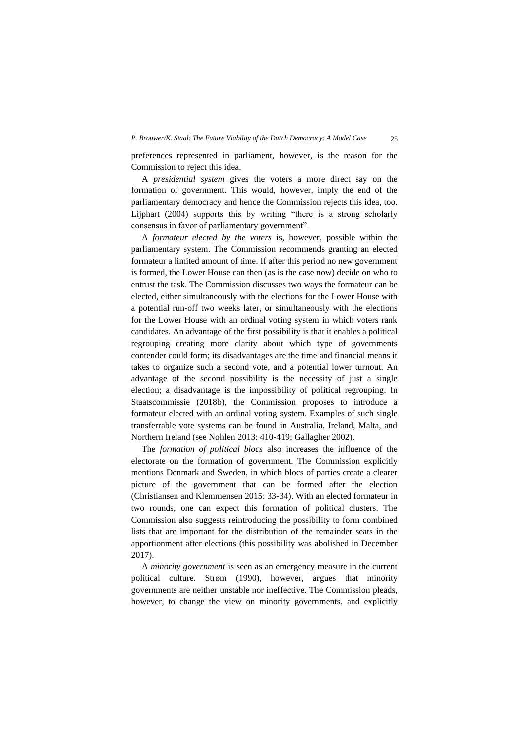preferences represented in parliament, however, is the reason for the Commission to reject this idea.

A *presidential system* gives the voters a more direct say on the formation of government. This would, however, imply the end of the parliamentary democracy and hence the Commission rejects this idea, too. Lijphart (2004) supports this by writing "there is a strong scholarly consensus in favor of parliamentary government".

A *formateur elected by the voters* is, however, possible within the parliamentary system. The Commission recommends granting an elected formateur a limited amount of time. If after this period no new government is formed, the Lower House can then (as is the case now) decide on who to entrust the task. The Commission discusses two ways the formateur can be elected, either simultaneously with the elections for the Lower House with a potential run-off two weeks later, or simultaneously with the elections for the Lower House with an ordinal voting system in which voters rank candidates. An advantage of the first possibility is that it enables a political regrouping creating more clarity about which type of governments contender could form; its disadvantages are the time and financial means it takes to organize such a second vote, and a potential lower turnout. An advantage of the second possibility is the necessity of just a single election; a disadvantage is the impossibility of political regrouping. In Staatscommissie (2018b), the Commission proposes to introduce a formateur elected with an ordinal voting system. Examples of such single transferrable vote systems can be found in Australia, Ireland, Malta, and Northern Ireland (see Nohlen 2013: 410-419; Gallagher 2002).

The *formation of political blocs* also increases the influence of the electorate on the formation of government. The Commission explicitly mentions Denmark and Sweden, in which blocs of parties create a clearer picture of the government that can be formed after the election (Christiansen and Klemmensen 2015: 33-34). With an elected formateur in two rounds, one can expect this formation of political clusters. The Commission also suggests reintroducing the possibility to form combined lists that are important for the distribution of the remainder seats in the apportionment after elections (this possibility was abolished in December 2017).

A *minority government* is seen as an emergency measure in the current political culture. Strøm (1990), however, argues that minority governments are neither unstable nor ineffective. The Commission pleads, however, to change the view on minority governments, and explicitly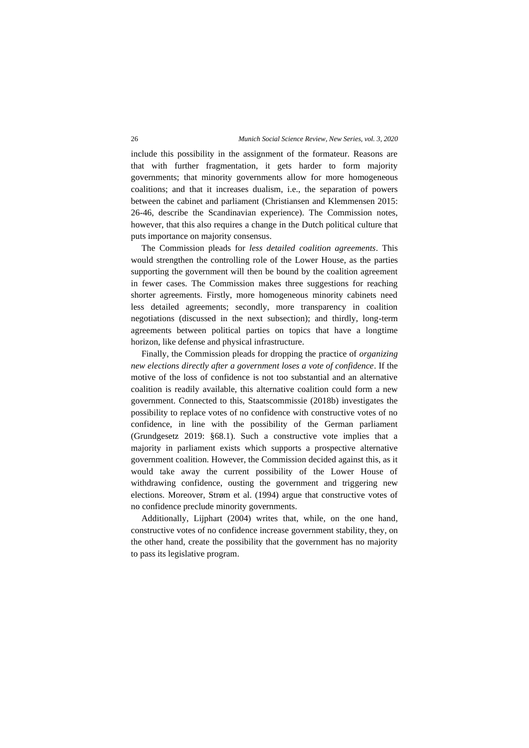include this possibility in the assignment of the formateur. Reasons are that with further fragmentation, it gets harder to form majority governments; that minority governments allow for more homogeneous coalitions; and that it increases dualism, i.e., the separation of powers between the cabinet and parliament (Christiansen and Klemmensen 2015: 26-46, describe the Scandinavian experience). The Commission notes, however, that this also requires a change in the Dutch political culture that puts importance on majority consensus.

The Commission pleads for *less detailed coalition agreements*. This would strengthen the controlling role of the Lower House, as the parties supporting the government will then be bound by the coalition agreement in fewer cases. The Commission makes three suggestions for reaching shorter agreements. Firstly, more homogeneous minority cabinets need less detailed agreements; secondly, more transparency in coalition negotiations (discussed in the next subsection); and thirdly, long-term agreements between political parties on topics that have a longtime horizon, like defense and physical infrastructure.

Finally, the Commission pleads for dropping the practice of *organizing new elections directly after a government loses a vote of confidence*. If the motive of the loss of confidence is not too substantial and an alternative coalition is readily available, this alternative coalition could form a new government. Connected to this, Staatscommissie (2018b) investigates the possibility to replace votes of no confidence with constructive votes of no confidence, in line with the possibility of the German parliament (Grundgesetz 2019: §68.1). Such a constructive vote implies that a majority in parliament exists which supports a prospective alternative government coalition. However, the Commission decided against this, as it would take away the current possibility of the Lower House of withdrawing confidence, ousting the government and triggering new elections. Moreover, Strøm et al. (1994) argue that constructive votes of no confidence preclude minority governments.

Additionally, Lijphart (2004) writes that, while, on the one hand, constructive votes of no confidence increase government stability, they, on the other hand, create the possibility that the government has no majority to pass its legislative program.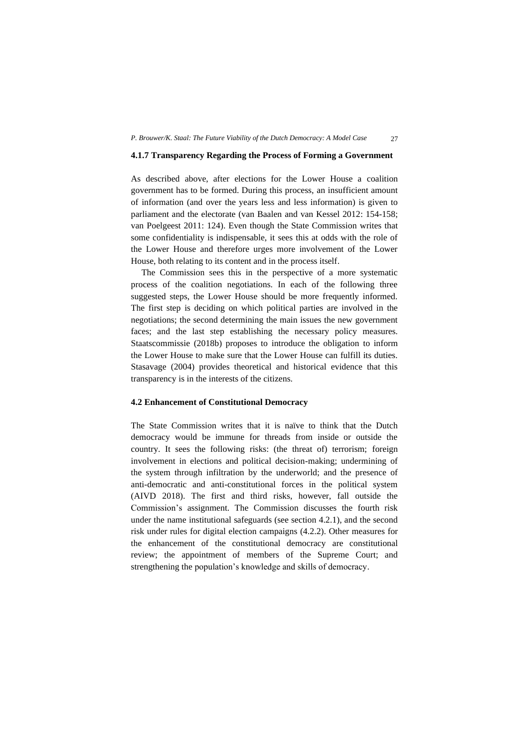#### **4.1.7 Transparency Regarding the Process of Forming a Government**

As described above, after elections for the Lower House a coalition government has to be formed. During this process, an insufficient amount of information (and over the years less and less information) is given to parliament and the electorate (van Baalen and van Kessel 2012: 154-158; van Poelgeest 2011: 124). Even though the State Commission writes that some confidentiality is indispensable, it sees this at odds with the role of the Lower House and therefore urges more involvement of the Lower House, both relating to its content and in the process itself.

The Commission sees this in the perspective of a more systematic process of the coalition negotiations. In each of the following three suggested steps, the Lower House should be more frequently informed. The first step is deciding on which political parties are involved in the negotiations; the second determining the main issues the new government faces; and the last step establishing the necessary policy measures. Staatscommissie (2018b) proposes to introduce the obligation to inform the Lower House to make sure that the Lower House can fulfill its duties. Stasavage (2004) provides theoretical and historical evidence that this transparency is in the interests of the citizens.

# **4.2 Enhancement of Constitutional Democracy**

The State Commission writes that it is naïve to think that the Dutch democracy would be immune for threads from inside or outside the country. It sees the following risks: (the threat of) terrorism; foreign involvement in elections and political decision-making; undermining of the system through infiltration by the underworld; and the presence of anti-democratic and anti-constitutional forces in the political system (AIVD 2018). The first and third risks, however, fall outside the Commission's assignment. The Commission discusses the fourth risk under the name institutional safeguards (see section 4.2.1), and the second risk under rules for digital election campaigns (4.2.2). Other measures for the enhancement of the constitutional democracy are constitutional review; the appointment of members of the Supreme Court; and strengthening the population's knowledge and skills of democracy.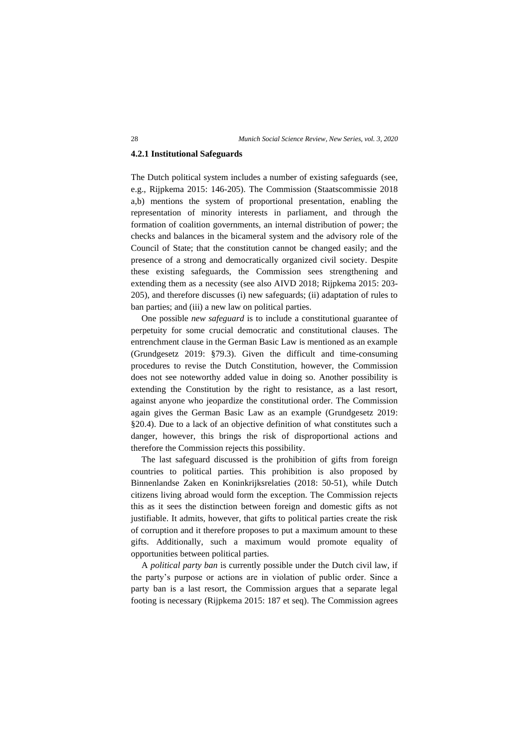#### **4.2.1 Institutional Safeguards**

The Dutch political system includes a number of existing safeguards (see, e.g., Rijpkema 2015: 146-205). The Commission (Staatscommissie 2018 a,b) mentions the system of proportional presentation, enabling the representation of minority interests in parliament, and through the formation of coalition governments, an internal distribution of power; the checks and balances in the bicameral system and the advisory role of the Council of State; that the constitution cannot be changed easily; and the presence of a strong and democratically organized civil society. Despite these existing safeguards, the Commission sees strengthening and extending them as a necessity (see also AIVD 2018; Rijpkema 2015: 203- 205), and therefore discusses (i) new safeguards; (ii) adaptation of rules to ban parties; and (iii) a new law on political parties.

One possible *new safeguard* is to include a constitutional guarantee of perpetuity for some crucial democratic and constitutional clauses. The entrenchment clause in the German Basic Law is mentioned as an example (Grundgesetz 2019: §79.3). Given the difficult and time-consuming procedures to revise the Dutch Constitution, however, the Commission does not see noteworthy added value in doing so. Another possibility is extending the Constitution by the right to resistance, as a last resort, against anyone who jeopardize the constitutional order. The Commission again gives the German Basic Law as an example (Grundgesetz 2019: §20.4). Due to a lack of an objective definition of what constitutes such a danger, however, this brings the risk of disproportional actions and therefore the Commission rejects this possibility.

The last safeguard discussed is the prohibition of gifts from foreign countries to political parties. This prohibition is also proposed by Binnenlandse Zaken en Koninkrijksrelaties (2018: 50-51), while Dutch citizens living abroad would form the exception. The Commission rejects this as it sees the distinction between foreign and domestic gifts as not justifiable. It admits, however, that gifts to political parties create the risk of corruption and it therefore proposes to put a maximum amount to these gifts. Additionally, such a maximum would promote equality of opportunities between political parties.

A *political party ban* is currently possible under the Dutch civil law, if the party's purpose or actions are in violation of public order. Since a party ban is a last resort, the Commission argues that a separate legal footing is necessary (Rijpkema 2015: 187 et seq). The Commission agrees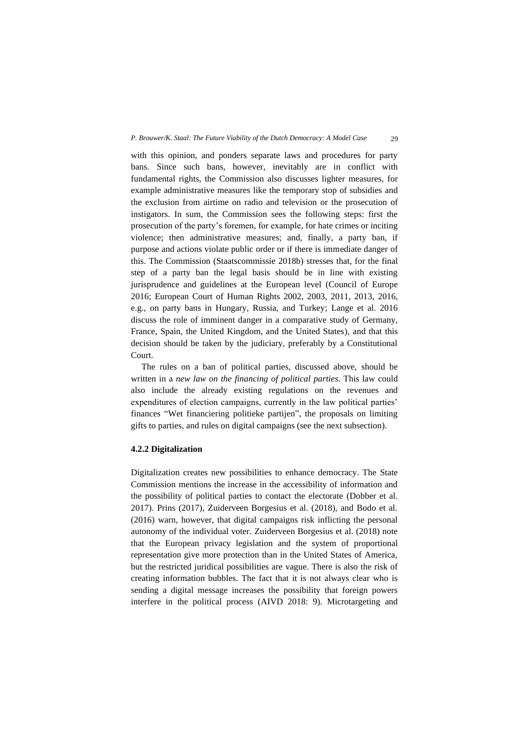with this opinion, and ponders separate laws and procedures for party bans. Since such bans, however, inevitably are in conflict with fundamental rights, the Commission also discusses lighter measures, for example administrative measures like the temporary stop of subsidies and the exclusion from airtime on radio and television or the prosecution of instigators. In sum, the Commission sees the following steps: first the prosecution of the party's foremen, for example, for hate crimes or inciting violence; then administrative measures; and, finally, a party ban, if purpose and actions violate public order or if there is immediate danger of this. The Commission (Staatscommissie 2018b) stresses that, for the final step of a party ban the legal basis should be in line with existing jurisprudence and guidelines at the European level (Council of Europe 2016; European Court of Human Rights 2002, 2003, 2011, 2013, 2016, e.g., on party bans in Hungary, Russia, and Turkey; Lange et al. 2016 discuss the role of imminent danger in a comparative study of Germany, France, Spain, the United Kingdom, and the United States), and that this decision should be taken by the judiciary, preferably by a Constitutional Court.

The rules on a ban of political parties, discussed above, should be written in a *new law on the financing of political parties*. This law could also include the already existing regulations on the revenues and expenditures of election campaigns, currently in the law political parties' finances "Wet financiering politieke partijen", the proposals on limiting gifts to parties, and rules on digital campaigns (see the next subsection).

## **4.2.2 Digitalization**

Digitalization creates new possibilities to enhance democracy. The State Commission mentions the increase in the accessibility of information and the possibility of political parties to contact the electorate (Dobber et al. 2017). Prins (2017), Zuiderveen Borgesius et al. (2018), and Bodo et al. (2016) warn, however, that digital campaigns risk inflicting the personal autonomy of the individual voter. Zuiderveen Borgesius et al. (2018) note that the European privacy legislation and the system of proportional representation give more protection than in the United States of America, but the restricted juridical possibilities are vague. There is also the risk of creating information bubbles. The fact that it is not always clear who is sending a digital message increases the possibility that foreign powers interfere in the political process (AIVD 2018: 9). Microtargeting and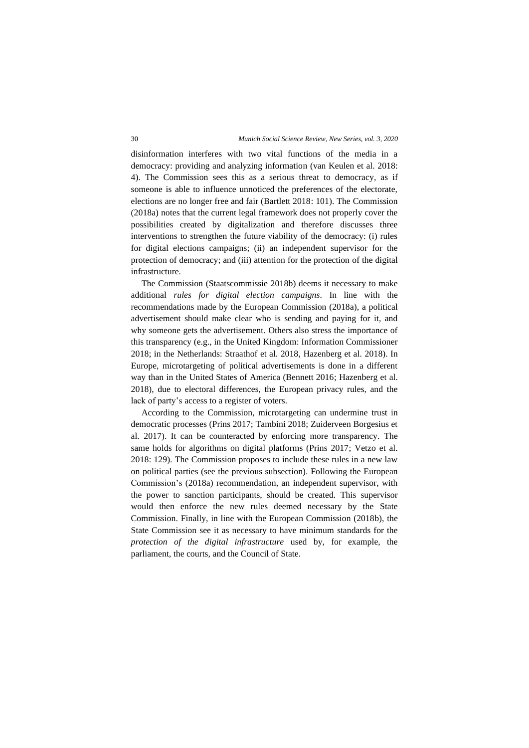disinformation interferes with two vital functions of the media in a democracy: providing and analyzing information (van Keulen et al. 2018: 4). The Commission sees this as a serious threat to democracy, as if someone is able to influence unnoticed the preferences of the electorate, elections are no longer free and fair (Bartlett 2018: 101). The Commission (2018a) notes that the current legal framework does not properly cover the possibilities created by digitalization and therefore discusses three interventions to strengthen the future viability of the democracy: (i) rules for digital elections campaigns; (ii) an independent supervisor for the protection of democracy; and (iii) attention for the protection of the digital infrastructure.

The Commission (Staatscommissie 2018b) deems it necessary to make additional *rules for digital election campaigns*. In line with the recommendations made by the European Commission (2018a), a political advertisement should make clear who is sending and paying for it, and why someone gets the advertisement. Others also stress the importance of this transparency (e.g., in the United Kingdom: Information Commissioner 2018; in the Netherlands: Straathof et al. 2018, Hazenberg et al. 2018). In Europe, microtargeting of political advertisements is done in a different way than in the United States of America (Bennett 2016; Hazenberg et al. 2018), due to electoral differences, the European privacy rules, and the lack of party's access to a register of voters.

According to the Commission, microtargeting can undermine trust in democratic processes (Prins 2017; Tambini 2018; Zuiderveen Borgesius et al. 2017). It can be counteracted by enforcing more transparency. The same holds for algorithms on digital platforms (Prins 2017; Vetzo et al. 2018: 129). The Commission proposes to include these rules in a new law on political parties (see the previous subsection). Following the European Commission's (2018a) recommendation, an independent supervisor, with the power to sanction participants, should be created. This supervisor would then enforce the new rules deemed necessary by the State Commission. Finally, in line with the European Commission (2018b), the State Commission see it as necessary to have minimum standards for the *protection of the digital infrastructure* used by, for example, the parliament, the courts, and the Council of State.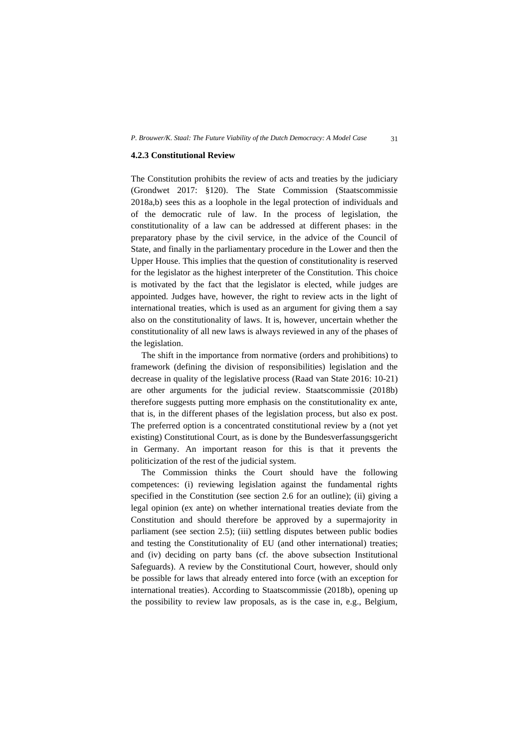#### **4.2.3 Constitutional Review**

The Constitution prohibits the review of acts and treaties by the judiciary (Grondwet 2017: §120). The State Commission (Staatscommissie 2018a,b) sees this as a loophole in the legal protection of individuals and of the democratic rule of law. In the process of legislation, the constitutionality of a law can be addressed at different phases: in the preparatory phase by the civil service, in the advice of the Council of State, and finally in the parliamentary procedure in the Lower and then the Upper House. This implies that the question of constitutionality is reserved for the legislator as the highest interpreter of the Constitution. This choice is motivated by the fact that the legislator is elected, while judges are appointed. Judges have, however, the right to review acts in the light of international treaties, which is used as an argument for giving them a say also on the constitutionality of laws. It is, however, uncertain whether the constitutionality of all new laws is always reviewed in any of the phases of the legislation.

The shift in the importance from normative (orders and prohibitions) to framework (defining the division of responsibilities) legislation and the decrease in quality of the legislative process (Raad van State 2016: 10-21) are other arguments for the judicial review. Staatscommissie (2018b) therefore suggests putting more emphasis on the constitutionality ex ante, that is, in the different phases of the legislation process, but also ex post. The preferred option is a concentrated constitutional review by a (not yet existing) Constitutional Court, as is done by the Bundesverfassungsgericht in Germany. An important reason for this is that it prevents the politicization of the rest of the judicial system.

The Commission thinks the Court should have the following competences: (i) reviewing legislation against the fundamental rights specified in the Constitution (see section 2.6 for an outline); (ii) giving a legal opinion (ex ante) on whether international treaties deviate from the Constitution and should therefore be approved by a supermajority in parliament (see section 2.5); (iii) settling disputes between public bodies and testing the Constitutionality of EU (and other international) treaties; and (iv) deciding on party bans (cf. the above subsection Institutional Safeguards). A review by the Constitutional Court, however, should only be possible for laws that already entered into force (with an exception for international treaties). According to Staatscommissie (2018b), opening up the possibility to review law proposals, as is the case in, e.g., Belgium,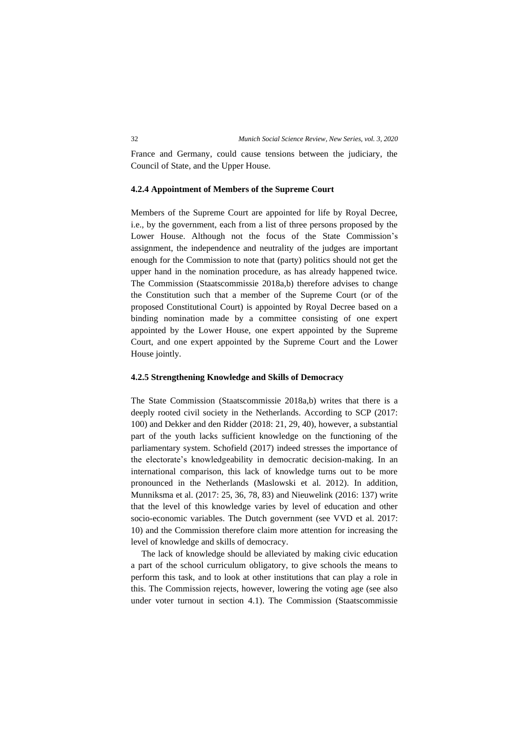France and Germany, could cause tensions between the judiciary, the Council of State, and the Upper House.

# **4.2.4 Appointment of Members of the Supreme Court**

Members of the Supreme Court are appointed for life by Royal Decree, i.e., by the government, each from a list of three persons proposed by the Lower House. Although not the focus of the State Commission's assignment, the independence and neutrality of the judges are important enough for the Commission to note that (party) politics should not get the upper hand in the nomination procedure, as has already happened twice. The Commission (Staatscommissie 2018a,b) therefore advises to change the Constitution such that a member of the Supreme Court (or of the proposed Constitutional Court) is appointed by Royal Decree based on a binding nomination made by a committee consisting of one expert appointed by the Lower House, one expert appointed by the Supreme Court, and one expert appointed by the Supreme Court and the Lower House jointly.

## **4.2.5 Strengthening Knowledge and Skills of Democracy**

The State Commission (Staatscommissie 2018a,b) writes that there is a deeply rooted civil society in the Netherlands. According to SCP (2017: 100) and Dekker and den Ridder (2018: 21, 29, 40), however, a substantial part of the youth lacks sufficient knowledge on the functioning of the parliamentary system. Schofield (2017) indeed stresses the importance of the electorate's knowledgeability in democratic decision-making. In an international comparison, this lack of knowledge turns out to be more pronounced in the Netherlands (Maslowski et al. 2012). In addition, Munniksma et al. (2017: 25, 36, 78, 83) and Nieuwelink (2016: 137) write that the level of this knowledge varies by level of education and other socio-economic variables. The Dutch government (see VVD et al. 2017: 10) and the Commission therefore claim more attention for increasing the level of knowledge and skills of democracy.

The lack of knowledge should be alleviated by making civic education a part of the school curriculum obligatory, to give schools the means to perform this task, and to look at other institutions that can play a role in this. The Commission rejects, however, lowering the voting age (see also under voter turnout in section 4.1). The Commission (Staatscommissie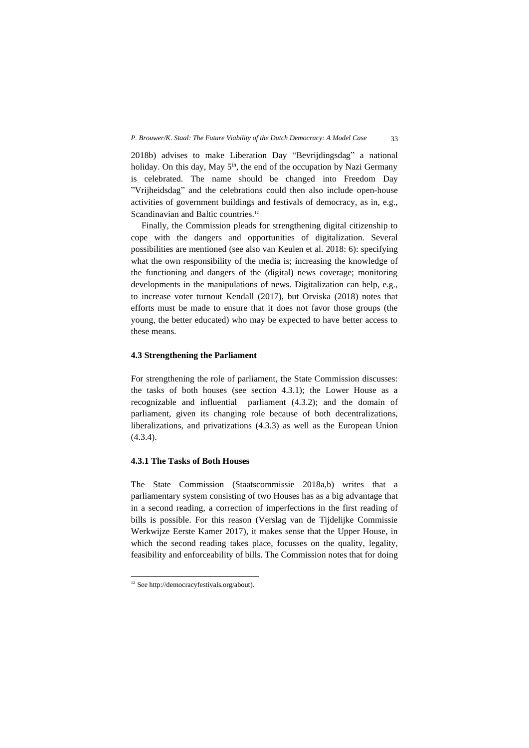2018b) advises to make Liberation Day "Bevrijdingsdag" a national holiday. On this day, May 5<sup>th</sup>, the end of the occupation by Nazi Germany is celebrated. The name should be changed into Freedom Day "Vrijheidsdag" and the celebrations could then also include open-house activities of government buildings and festivals of democracy, as in, e.g., Scandinavian and Baltic countries.<sup>12</sup>

Finally, the Commission pleads for strengthening digital citizenship to cope with the dangers and opportunities of digitalization. Several possibilities are mentioned (see also van Keulen et al. 2018: 6): specifying what the own responsibility of the media is; increasing the knowledge of the functioning and dangers of the (digital) news coverage; monitoring developments in the manipulations of news. Digitalization can help, e.g., to increase voter turnout Kendall (2017), but Orviska (2018) notes that efforts must be made to ensure that it does not favor those groups (the young, the better educated) who may be expected to have better access to these means.

## **4.3 Strengthening the Parliament**

For strengthening the role of parliament, the State Commission discusses: the tasks of both houses (see section 4.3.1); the Lower House as a recognizable and influential parliament (4.3.2); and the domain of parliament, given its changing role because of both decentralizations, liberalizations, and privatizations (4.3.3) as well as the European Union (4.3.4).

# **4.3.1 The Tasks of Both Houses**

The State Commission (Staatscommissie 2018a,b) writes that a parliamentary system consisting of two Houses has as a big advantage that in a second reading, a correction of imperfections in the first reading of bills is possible. For this reason (Verslag van de Tijdelijke Commissie Werkwijze Eerste Kamer 2017), it makes sense that the Upper House, in which the second reading takes place, focusses on the quality, legality, feasibility and enforceability of bills. The Commission notes that for doing

<sup>12</sup> Se[e http://democracyfestivals.org/about\)](http://democracyfestivals.org/about).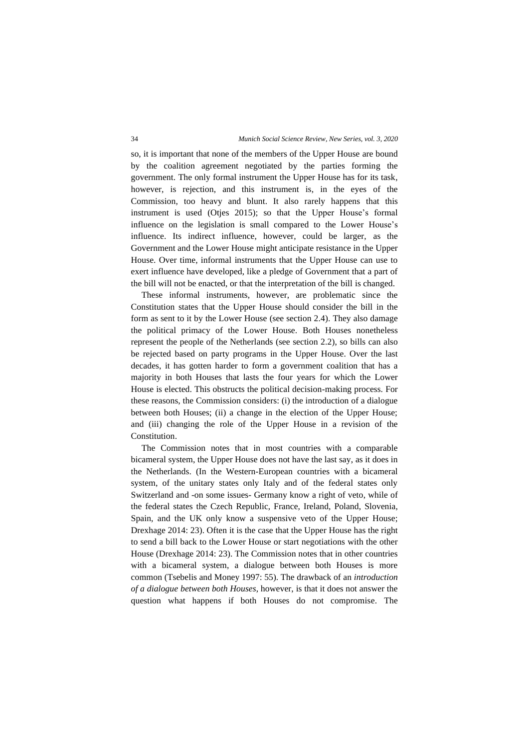so, it is important that none of the members of the Upper House are bound by the coalition agreement negotiated by the parties forming the government. The only formal instrument the Upper House has for its task, however, is rejection, and this instrument is, in the eyes of the Commission, too heavy and blunt. It also rarely happens that this instrument is used (Otjes 2015); so that the Upper House's formal influence on the legislation is small compared to the Lower House's influence. Its indirect influence, however, could be larger, as the Government and the Lower House might anticipate resistance in the Upper House. Over time, informal instruments that the Upper House can use to exert influence have developed, like a pledge of Government that a part of the bill will not be enacted, or that the interpretation of the bill is changed.

These informal instruments, however, are problematic since the Constitution states that the Upper House should consider the bill in the form as sent to it by the Lower House (see section 2.4). They also damage the political primacy of the Lower House. Both Houses nonetheless represent the people of the Netherlands (see section 2.2), so bills can also be rejected based on party programs in the Upper House. Over the last decades, it has gotten harder to form a government coalition that has a majority in both Houses that lasts the four years for which the Lower House is elected. This obstructs the political decision-making process. For these reasons, the Commission considers: (i) the introduction of a dialogue between both Houses; (ii) a change in the election of the Upper House; and (iii) changing the role of the Upper House in a revision of the Constitution.

The Commission notes that in most countries with a comparable bicameral system, the Upper House does not have the last say, as it does in the Netherlands. (In the Western-European countries with a bicameral system, of the unitary states only Italy and of the federal states only Switzerland and -on some issues- Germany know a right of veto, while of the federal states the Czech Republic, France, Ireland, Poland, Slovenia, Spain, and the UK only know a suspensive veto of the Upper House; Drexhage 2014: 23). Often it is the case that the Upper House has the right to send a bill back to the Lower House or start negotiations with the other House (Drexhage 2014: 23). The Commission notes that in other countries with a bicameral system, a dialogue between both Houses is more common (Tsebelis and Money 1997: 55). The drawback of an *introduction of a dialogue between both Houses*, however, is that it does not answer the question what happens if both Houses do not compromise. The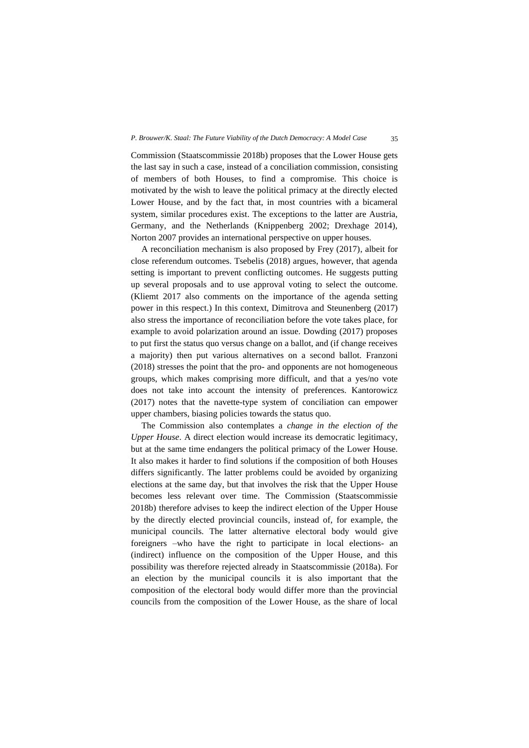#### *P. Brouwer/K. Staal: The Future Viability of the Dutch Democracy: A Model Case* 35

Commission (Staatscommissie 2018b) proposes that the Lower House gets the last say in such a case, instead of a conciliation commission, consisting of members of both Houses, to find a compromise. This choice is motivated by the wish to leave the political primacy at the directly elected Lower House, and by the fact that, in most countries with a bicameral system, similar procedures exist. The exceptions to the latter are Austria, Germany, and the Netherlands (Knippenberg 2002; Drexhage 2014), Norton 2007 provides an international perspective on upper houses.

A reconciliation mechanism is also proposed by Frey (2017), albeit for close referendum outcomes. Tsebelis (2018) argues, however, that agenda setting is important to prevent conflicting outcomes. He suggests putting up several proposals and to use approval voting to select the outcome. (Kliemt 2017 also comments on the importance of the agenda setting power in this respect.) In this context, Dimitrova and Steunenberg (2017) also stress the importance of reconciliation before the vote takes place, for example to avoid polarization around an issue. Dowding (2017) proposes to put first the status quo versus change on a ballot, and (if change receives a majority) then put various alternatives on a second ballot. Franzoni (2018) stresses the point that the pro- and opponents are not homogeneous groups, which makes comprising more difficult, and that a yes/no vote does not take into account the intensity of preferences. Kantorowicz (2017) notes that the navette-type system of conciliation can empower upper chambers, biasing policies towards the status quo.

The Commission also contemplates a *change in the election of the Upper House*. A direct election would increase its democratic legitimacy, but at the same time endangers the political primacy of the Lower House. It also makes it harder to find solutions if the composition of both Houses differs significantly. The latter problems could be avoided by organizing elections at the same day, but that involves the risk that the Upper House becomes less relevant over time. The Commission (Staatscommissie 2018b) therefore advises to keep the indirect election of the Upper House by the directly elected provincial councils, instead of, for example, the municipal councils. The latter alternative electoral body would give foreigners –who have the right to participate in local elections- an (indirect) influence on the composition of the Upper House, and this possibility was therefore rejected already in Staatscommissie (2018a). For an election by the municipal councils it is also important that the composition of the electoral body would differ more than the provincial councils from the composition of the Lower House, as the share of local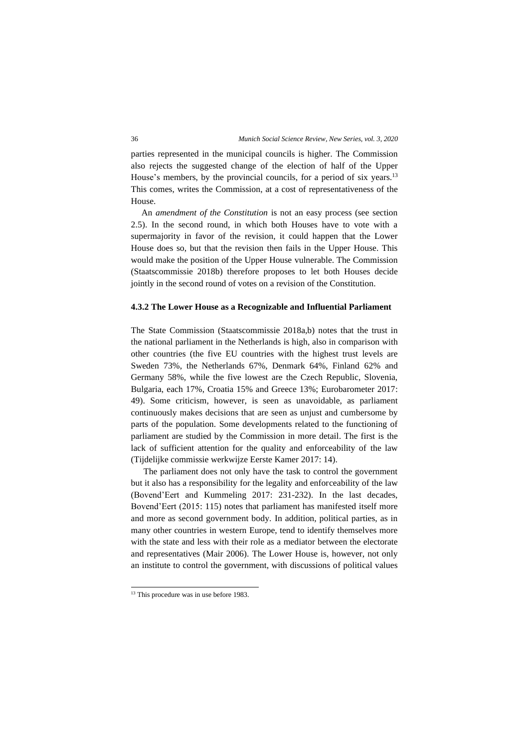parties represented in the municipal councils is higher. The Commission also rejects the suggested change of the election of half of the Upper House's members, by the provincial councils, for a period of six years.<sup>13</sup> This comes, writes the Commission, at a cost of representativeness of the House.

An *amendment of the Constitution* is not an easy process (see section 2.5). In the second round, in which both Houses have to vote with a supermajority in favor of the revision, it could happen that the Lower House does so, but that the revision then fails in the Upper House. This would make the position of the Upper House vulnerable. The Commission (Staatscommissie 2018b) therefore proposes to let both Houses decide jointly in the second round of votes on a revision of the Constitution.

# **4.3.2 The Lower House as a Recognizable and Influential Parliament**

The State Commission (Staatscommissie 2018a,b) notes that the trust in the national parliament in the Netherlands is high, also in comparison with other countries (the five EU countries with the highest trust levels are Sweden 73%, the Netherlands 67%, Denmark 64%, Finland 62% and Germany 58%, while the five lowest are the Czech Republic, Slovenia, Bulgaria, each 17%, Croatia 15% and Greece 13%; Eurobarometer 2017: 49). Some criticism, however, is seen as unavoidable, as parliament continuously makes decisions that are seen as unjust and cumbersome by parts of the population. Some developments related to the functioning of parliament are studied by the Commission in more detail. The first is the lack of sufficient attention for the quality and enforceability of the law (Tijdelijke commissie werkwijze Eerste Kamer 2017: 14).

The parliament does not only have the task to control the government but it also has a responsibility for the legality and enforceability of the law (Bovend'Eert and Kummeling 2017: 231-232). In the last decades, Bovend'Eert (2015: 115) notes that parliament has manifested itself more and more as second government body. In addition, political parties, as in many other countries in western Europe, tend to identify themselves more with the state and less with their role as a mediator between the electorate and representatives (Mair 2006). The Lower House is, however, not only an institute to control the government, with discussions of political values

<sup>&</sup>lt;sup>13</sup> This procedure was in use before 1983.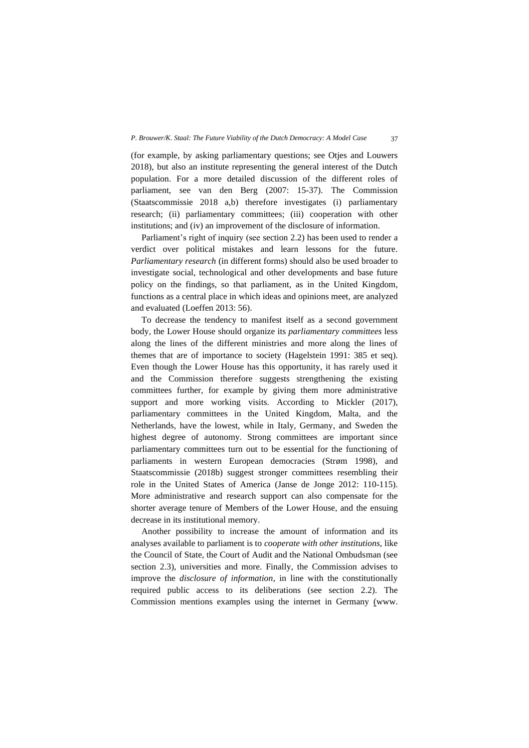(for example, by asking parliamentary questions; see Otjes and Louwers 2018), but also an institute representing the general interest of the Dutch population. For a more detailed discussion of the different roles of parliament, see van den Berg (2007: 15-37). The Commission (Staatscommissie 2018 a,b) therefore investigates (i) parliamentary research; (ii) parliamentary committees; (iii) cooperation with other institutions; and (iv) an improvement of the disclosure of information.

Parliament's right of inquiry (see section 2.2) has been used to render a verdict over political mistakes and learn lessons for the future. *Parliamentary research* (in different forms) should also be used broader to investigate social, technological and other developments and base future policy on the findings, so that parliament, as in the United Kingdom, functions as a central place in which ideas and opinions meet, are analyzed and evaluated (Loeffen 2013: 56).

To decrease the tendency to manifest itself as a second government body, the Lower House should organize its *parliamentary committees* less along the lines of the different ministries and more along the lines of themes that are of importance to society (Hagelstein 1991: 385 et seq). Even though the Lower House has this opportunity, it has rarely used it and the Commission therefore suggests strengthening the existing committees further, for example by giving them more administrative support and more working visits. According to Mickler (2017), parliamentary committees in the United Kingdom, Malta, and the Netherlands, have the lowest, while in Italy, Germany, and Sweden the highest degree of autonomy. Strong committees are important since parliamentary committees turn out to be essential for the functioning of parliaments in western European democracies (Strøm 1998), and Staatscommissie (2018b) suggest stronger committees resembling their role in the United States of America (Janse de Jonge 2012: 110-115). More administrative and research support can also compensate for the shorter average tenure of Members of the Lower House, and the ensuing decrease in its institutional memory.

Another possibility to increase the amount of information and its analyses available to parliament is to *cooperate with other institutions*, like the Council of State, the Court of Audit and the National Ombudsman (see section 2.3), universities and more. Finally, the Commission advises to improve the *disclosure of information*, in line with the constitutionally required public access to its deliberations (see section 2.2). The Commission mentions examples using the internet in Germany [\(www.](http://www.abgeordnetenwatch.de/)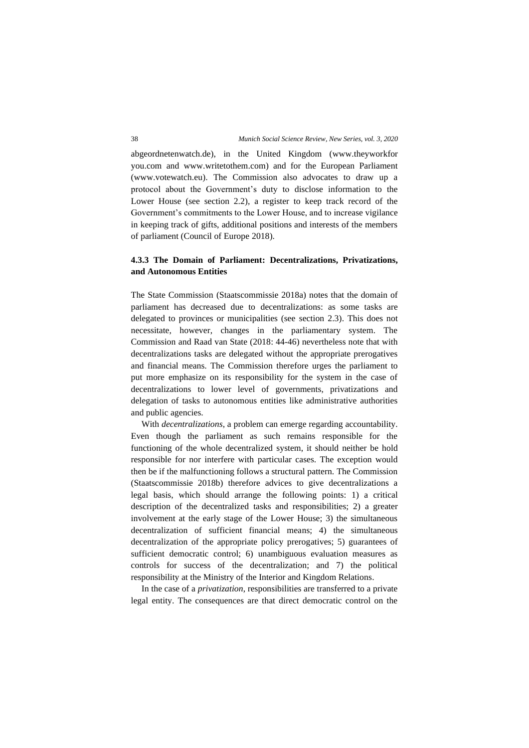[abgeordnetenwatch.de\)](http://www.abgeordnetenwatch.de/), in the United Kingdom (www.theyworkfor you.com and [www.writetothem.com\)](http://www.writetothem.com/) and for the European Parliament [\(www.votewatch.eu\)](http://www.votewatch.eu/). The Commission also advocates to draw up a protocol about the Government's duty to disclose information to the Lower House (see section 2.2), a register to keep track record of the Government's commitments to the Lower House, and to increase vigilance in keeping track of gifts, additional positions and interests of the members of parliament (Council of Europe 2018).

# **4.3.3 The Domain of Parliament: Decentralizations, Privatizations, and Autonomous Entities**

The State Commission (Staatscommissie 2018a) notes that the domain of parliament has decreased due to decentralizations: as some tasks are delegated to provinces or municipalities (see section 2.3). This does not necessitate, however, changes in the parliamentary system. The Commission and Raad van State (2018: 44-46) nevertheless note that with decentralizations tasks are delegated without the appropriate prerogatives and financial means. The Commission therefore urges the parliament to put more emphasize on its responsibility for the system in the case of decentralizations to lower level of governments, privatizations and delegation of tasks to autonomous entities like administrative authorities and public agencies.

With *decentralizations*, a problem can emerge regarding accountability. Even though the parliament as such remains responsible for the functioning of the whole decentralized system, it should neither be hold responsible for nor interfere with particular cases. The exception would then be if the malfunctioning follows a structural pattern. The Commission (Staatscommissie 2018b) therefore advices to give decentralizations a legal basis, which should arrange the following points: 1) a critical description of the decentralized tasks and responsibilities; 2) a greater involvement at the early stage of the Lower House; 3) the simultaneous decentralization of sufficient financial means; 4) the simultaneous decentralization of the appropriate policy prerogatives; 5) guarantees of sufficient democratic control; 6) unambiguous evaluation measures as controls for success of the decentralization; and 7) the political responsibility at the Ministry of the Interior and Kingdom Relations.

In the case of a *privatization*, responsibilities are transferred to a private legal entity. The consequences are that direct democratic control on the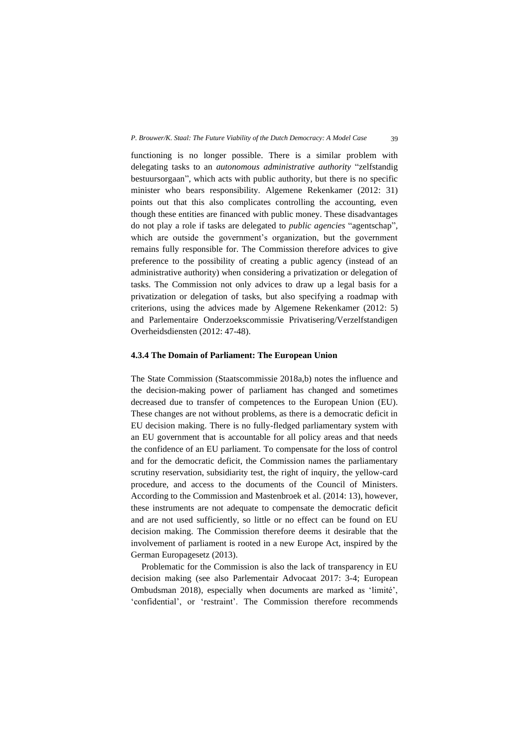functioning is no longer possible. There is a similar problem with delegating tasks to an *autonomous administrative authority* "zelfstandig bestuursorgaan", which acts with public authority, but there is no specific minister who bears responsibility. Algemene Rekenkamer (2012: 31) points out that this also complicates controlling the accounting, even though these entities are financed with public money. These disadvantages do not play a role if tasks are delegated to *public agencies* "agentschap", which are outside the government's organization, but the government remains fully responsible for. The Commission therefore advices to give preference to the possibility of creating a public agency (instead of an administrative authority) when considering a privatization or delegation of tasks. The Commission not only advices to draw up a legal basis for a privatization or delegation of tasks, but also specifying a roadmap with criterions, using the advices made by Algemene Rekenkamer (2012: 5) and Parlementaire Onderzoekscommissie Privatisering/Verzelfstandigen Overheidsdiensten (2012: 47-48).

#### **4.3.4 The Domain of Parliament: The European Union**

The State Commission (Staatscommissie 2018a,b) notes the influence and the decision-making power of parliament has changed and sometimes decreased due to transfer of competences to the European Union (EU). These changes are not without problems, as there is a democratic deficit in EU decision making. There is no fully-fledged parliamentary system with an EU government that is accountable for all policy areas and that needs the confidence of an EU parliament. To compensate for the loss of control and for the democratic deficit, the Commission names the parliamentary scrutiny reservation, subsidiarity test, the right of inquiry, the yellow-card procedure, and access to the documents of the Council of Ministers. According to the Commission and Mastenbroek et al. (2014: 13), however, these instruments are not adequate to compensate the democratic deficit and are not used sufficiently, so little or no effect can be found on EU decision making. The Commission therefore deems it desirable that the involvement of parliament is rooted in a new Europe Act, inspired by the German Europagesetz (2013).

Problematic for the Commission is also the lack of transparency in EU decision making (see also Parlementair Advocaat 2017: 3-4; European Ombudsman 2018), especially when documents are marked as 'limité', 'confidential', or 'restraint'. The Commission therefore recommends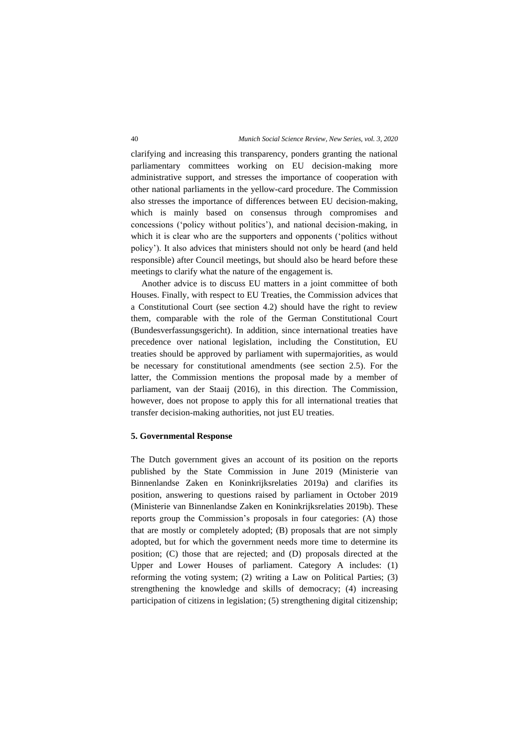clarifying and increasing this transparency, ponders granting the national parliamentary committees working on EU decision-making more administrative support, and stresses the importance of cooperation with other national parliaments in the yellow-card procedure. The Commission also stresses the importance of differences between EU decision-making, which is mainly based on consensus through compromises and concessions ('policy without politics'), and national decision-making, in which it is clear who are the supporters and opponents ('politics without policy'). It also advices that ministers should not only be heard (and held responsible) after Council meetings, but should also be heard before these meetings to clarify what the nature of the engagement is.

Another advice is to discuss EU matters in a joint committee of both Houses. Finally, with respect to EU Treaties, the Commission advices that a Constitutional Court (see section 4.2) should have the right to review them, comparable with the role of the German Constitutional Court (Bundesverfassungsgericht). In addition, since international treaties have precedence over national legislation, including the Constitution, EU treaties should be approved by parliament with supermajorities, as would be necessary for constitutional amendments (see section 2.5). For the latter, the Commission mentions the proposal made by a member of parliament, van der Staaij (2016), in this direction. The Commission, however, does not propose to apply this for all international treaties that transfer decision-making authorities, not just EU treaties.

#### **5. Governmental Response**

The Dutch government gives an account of its position on the reports published by the State Commission in June 2019 (Ministerie van Binnenlandse Zaken en Koninkrijksrelaties 2019a) and clarifies its position, answering to questions raised by parliament in October 2019 (Ministerie van Binnenlandse Zaken en Koninkrijksrelaties 2019b). These reports group the Commission's proposals in four categories: (A) those that are mostly or completely adopted; (B) proposals that are not simply adopted, but for which the government needs more time to determine its position; (C) those that are rejected; and (D) proposals directed at the Upper and Lower Houses of parliament. Category A includes: (1) reforming the voting system; (2) writing a Law on Political Parties; (3) strengthening the knowledge and skills of democracy; (4) increasing participation of citizens in legislation; (5) strengthening digital citizenship;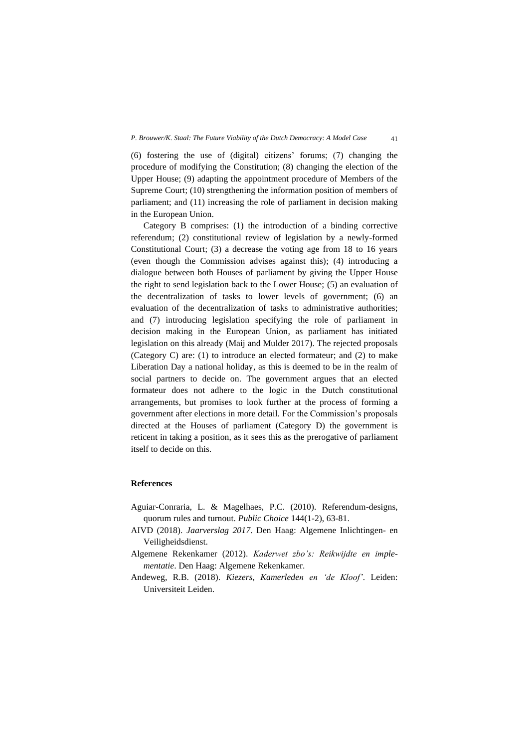(6) fostering the use of (digital) citizens' forums; (7) changing the procedure of modifying the Constitution; (8) changing the election of the Upper House; (9) adapting the appointment procedure of Members of the Supreme Court; (10) strengthening the information position of members of parliament; and (11) increasing the role of parliament in decision making in the European Union.

Category B comprises: (1) the introduction of a binding corrective referendum; (2) constitutional review of legislation by a newly-formed Constitutional Court; (3) a decrease the voting age from 18 to 16 years (even though the Commission advises against this); (4) introducing a dialogue between both Houses of parliament by giving the Upper House the right to send legislation back to the Lower House; (5) an evaluation of the decentralization of tasks to lower levels of government; (6) an evaluation of the decentralization of tasks to administrative authorities; and (7) introducing legislation specifying the role of parliament in decision making in the European Union, as parliament has initiated legislation on this already (Maij and Mulder 2017). The rejected proposals (Category C) are: (1) to introduce an elected formateur; and (2) to make Liberation Day a national holiday, as this is deemed to be in the realm of social partners to decide on. The government argues that an elected formateur does not adhere to the logic in the Dutch constitutional arrangements, but promises to look further at the process of forming a government after elections in more detail. For the Commission's proposals directed at the Houses of parliament (Category D) the government is reticent in taking a position, as it sees this as the prerogative of parliament itself to decide on this.

## **References**

- Aguiar-Conraria, L. & Magelhaes, P.C. (2010). Referendum-designs, quorum rules and turnout. *Public Choice* 144(1-2), 63-81.
- AIVD (2018). *Jaarverslag 2017*. Den Haag: Algemene Inlichtingen- en Veiligheidsdienst.

Algemene Rekenkamer (2012). *Kaderwet zbo's: Reikwijdte en implementatie*. Den Haag: Algemene Rekenkamer.

Andeweg, R.B. (2018). *Kiezers, Kamerleden en 'de Kloof'*. Leiden: Universiteit Leiden.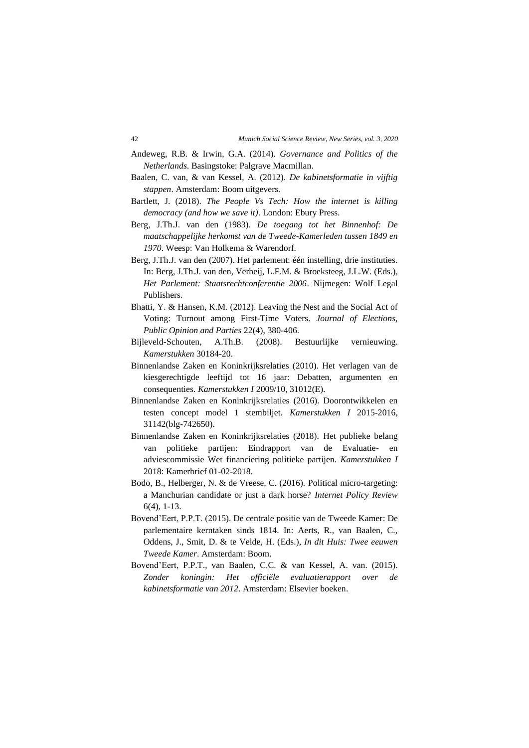- Andeweg, R.B. & Irwin, G.A. (2014). *Governance and Politics of the Netherlands*. Basingstoke: Palgrave Macmillan.
- Baalen, C. van, & van Kessel, A. (2012). *De kabinetsformatie in vijftig stappen*. Amsterdam: Boom uitgevers.
- Bartlett, J. (2018). *The People Vs Tech: How the internet is killing democracy (and how we save it)*. London: Ebury Press.
- Berg, J.Th.J. van den (1983). *De toegang tot het Binnenhof: De maatschappelijke herkomst van de Tweede-Kamerleden tussen 1849 en 1970*. Weesp: Van Holkema & Warendorf.
- Berg, J.Th.J. van den (2007). Het parlement: één instelling, drie instituties. In: Berg, J.Th.J. van den, Verheij, L.F.M. & Broeksteeg, J.L.W. (Eds.), *Het Parlement: Staatsrechtconferentie 2006*. Nijmegen: Wolf Legal Publishers.
- Bhatti, Y. & Hansen, K.M. (2012). Leaving the Nest and the Social Act of Voting: Turnout among First-Time Voters. *Journal of Elections, Public Opinion and Parties* 22(4), 380-406.
- Bijleveld-Schouten, A.Th.B. (2008). Bestuurlijke vernieuwing. *Kamerstukken* 30184-20.
- Binnenlandse Zaken en Koninkrijksrelaties (2010). Het verlagen van de kiesgerechtigde leeftijd tot 16 jaar: Debatten, argumenten en consequenties. *Kamerstukken I* 2009/10, 31012(E).
- Binnenlandse Zaken en Koninkrijksrelaties (2016). Doorontwikkelen en testen concept model 1 stembiljet. *Kamerstukken I* 2015-2016, 31142(blg-742650).
- Binnenlandse Zaken en Koninkrijksrelaties (2018). Het publieke belang van politieke partijen: Eindrapport van de Evaluatie- en adviescommissie Wet financiering politieke partijen. *Kamerstukken I* 2018: Kamerbrief 01-02-2018.
- Bodo, B., Helberger, N. & de Vreese, C. (2016). Political micro-targeting: a Manchurian candidate or just a dark horse? *Internet Policy Review* 6(4), 1-13.
- Bovend'Eert, P.P.T. (2015). De centrale positie van de Tweede Kamer: De parlementaire kerntaken sinds 1814. In: Aerts, R., van Baalen, C., Oddens, J., Smit, D. & te Velde, H. (Eds.), *In dit Huis: Twee eeuwen Tweede Kamer*. Amsterdam: Boom.
- Bovend'Eert, P.P.T., van Baalen, C.C. & van Kessel, A. van. (2015). *Zonder koningin: Het officiële evaluatierapport over de kabinetsformatie van 2012*. Amsterdam: Elsevier boeken.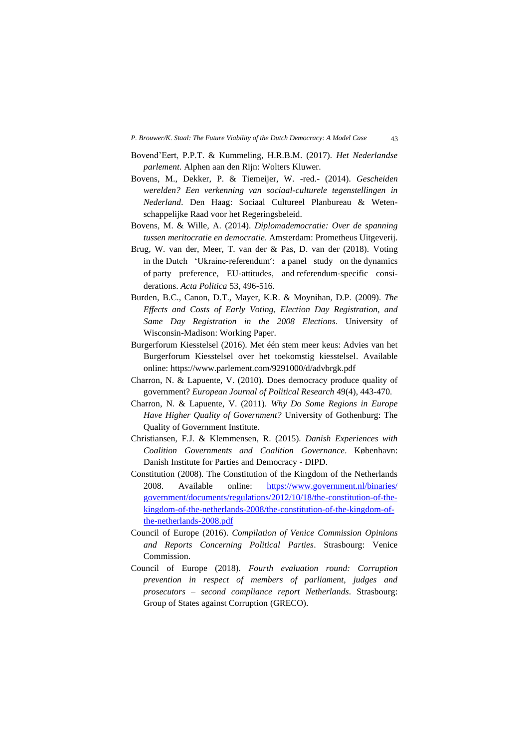- Bovend'Eert, P.P.T. & Kummeling, H.R.B.M. (2017). *Het Nederlandse parlement*. Alphen aan den Rijn: Wolters Kluwer.
- Bovens, M., Dekker, P. & Tiemeijer, W. -red.- (2014). *Gescheiden werelden? Een verkenning van sociaal-culturele tegenstellingen in Nederland*. Den Haag: Sociaal Cultureel Planbureau & Wetenschappelijke Raad voor het Regeringsbeleid.
- Bovens, M. & Wille, A. (2014). *Diplomademocratie: Over de spanning tussen meritocratie en democratie*. Amsterdam: Prometheus Uitgeverij.
- Brug, W. van der, Meer, T. van der & Pas, D. van der (2018). Voting in the Dutch 'Ukraine-referendum': a panel study on the dynamics of party preference, EU‑attitudes, and referendum‑specific considerations. *Acta Politica* 53, 496-516.
- Burden, B.C., Canon, D.T., Mayer, K.R. & Moynihan, D.P. (2009). *The Effects and Costs of Early Voting, Election Day Registration, and Same Day Registration in the 2008 Elections*. University of Wisconsin-Madison: Working Paper.
- Burgerforum Kiesstelsel (2016). Met één stem meer keus: Advies van het Burgerforum Kiesstelsel over het toekomstig kiesstelsel. Available online:<https://www.parlement.com/9291000/d/advbrgk.pdf>
- Charron, N. & Lapuente, V. (2010). Does democracy produce quality of government? *European Journal of Political Research* 49(4), 443-470.
- Charron, N. & Lapuente, V. (2011). *Why Do Some Regions in Europe Have Higher Quality of Government?* University of Gothenburg: The Quality of Government Institute.
- Christiansen, F.J. & Klemmensen, R. (2015). *Danish Experiences with Coalition Governments and Coalition Governance*. København: Danish Institute for Parties and Democracy - DIPD.
- Constitution (2008). The Constitution of the Kingdom of the Netherlands 2008. Available online: [https://www.government.nl/binaries/](https://www.government.nl/binaries/%20%20government/documents/regulations/2012/10/18/the-constitution-of-the-kingdom-of-the-netherlands-2008/the-constitution-of-the-kingdom-of-the-netherlands-2008.pdf)  [government/documents/regulations/2012/10/18/the-constitution-of-the](https://www.government.nl/binaries/%20%20government/documents/regulations/2012/10/18/the-constitution-of-the-kingdom-of-the-netherlands-2008/the-constitution-of-the-kingdom-of-the-netherlands-2008.pdf)[kingdom-of-the-netherlands-2008/the-constitution-of-the-kingdom-of](https://www.government.nl/binaries/%20%20government/documents/regulations/2012/10/18/the-constitution-of-the-kingdom-of-the-netherlands-2008/the-constitution-of-the-kingdom-of-the-netherlands-2008.pdf)[the-netherlands-2008.pdf](https://www.government.nl/binaries/%20%20government/documents/regulations/2012/10/18/the-constitution-of-the-kingdom-of-the-netherlands-2008/the-constitution-of-the-kingdom-of-the-netherlands-2008.pdf)
- Council of Europe (2016). *Compilation of Venice Commission Opinions and Reports Concerning Political Parties*. Strasbourg: Venice Commission.
- Council of Europe (2018). *Fourth evaluation round: Corruption prevention in respect of members of parliament, judges and prosecutors – second compliance report Netherlands*. Strasbourg: Group of States against Corruption (GRECO).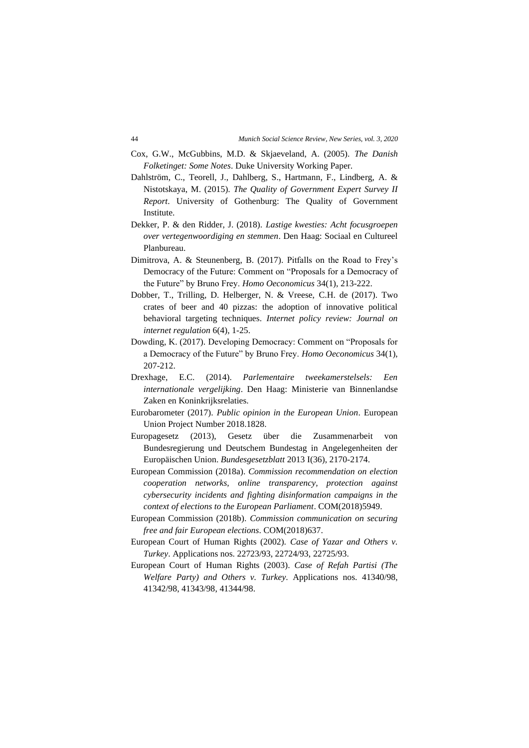- Cox, G.W., McGubbins, M.D. & Skjaeveland, A. (2005). *The Danish Folketinget: Some Notes*. Duke University Working Paper.
- Dahlström, C., Teorell, J., Dahlberg, S., Hartmann, F., Lindberg, A. & Nistotskaya, M. (2015). *The Quality of Government Expert Survey II Report*. University of Gothenburg: The Quality of Government Institute.
- Dekker, P. & den Ridder, J. (2018). *Lastige kwesties: Acht focusgroepen over vertegenwoordiging en stemmen*. Den Haag: Sociaal en Cultureel Planbureau.
- Dimitrova, A. & Steunenberg, B. (2017). Pitfalls on the Road to Frey's Democracy of the Future: Comment on "Proposals for a Democracy of the Future" by Bruno Frey. *Homo Oeconomicus* 34(1), 213-222.
- Dobber, T., Trilling, D. Helberger, N. & Vreese, C.H. de (2017). Two crates of beer and 40 pizzas: the adoption of innovative political behavioral targeting techniques. *Internet policy review: Journal on internet regulation* 6(4), 1-25.
- Dowding, K. (2017). Developing Democracy: Comment on "Proposals for a Democracy of the Future" by Bruno Frey. *Homo Oeconomicus* 34(1), 207-212.
- Drexhage, E.C. (2014). *Parlementaire tweekamerstelsels: Een internationale vergelijking*. Den Haag: Ministerie van Binnenlandse Zaken en Koninkrijksrelaties.
- Eurobarometer (2017). *Public opinion in the European Union*. European Union Project Number 2018.1828.
- Europagesetz (2013), Gesetz über die Zusammenarbeit von Bundesregierung und Deutschem Bundestag in Angelegenheiten der Europäischen Union. *Bundesgesetzblatt* 2013 I(36), 2170-2174.
- European Commission (2018a). *Commission recommendation on election cooperation networks, online transparency, protection against cybersecurity incidents and fighting disinformation campaigns in the context of elections to the European Parliament*. COM(2018)5949.
- European Commission (2018b). *Commission communication on securing free and fair European elections*. COM(2018)637.
- European Court of Human Rights (2002). *Case of Yazar and Others v. Turkey*. Applications nos. 22723/93, 22724/93, 22725/93.
- European Court of Human Rights (2003). *Case of Refah Partisi (The Welfare Party) and Others v. Turkey*. Applications nos. 41340/98, 41342/98, 41343/98, 41344/98.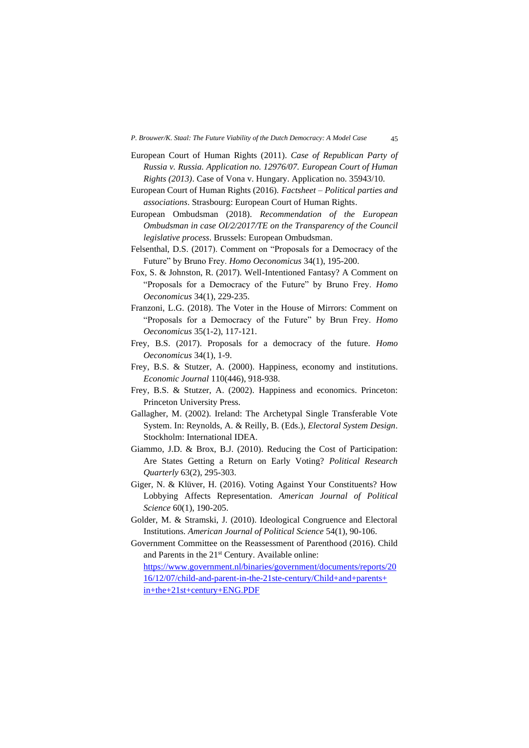- European Court of Human Rights (2011). *Case of Republican Party of Russia v. Russia. Application no. 12976/07. European Court of Human Rights (2013)*. Case of Vona v. Hungary. Application no. 35943/10.
- European Court of Human Rights (2016). *Factsheet – Political parties and associations*. Strasbourg: European Court of Human Rights.
- European Ombudsman (2018). *Recommendation of the European Ombudsman in case OI/2/2017/TE on the Transparency of the Council legislative process*. Brussels: European Ombudsman.
- Felsenthal, D.S. (2017). Comment on "Proposals for a Democracy of the Future" by Bruno Frey. *Homo Oeconomicus* 34(1), 195-200.
- Fox, S. & Johnston, R. (2017). Well-Intentioned Fantasy? A Comment on "Proposals for a Democracy of the Future" by Bruno Frey. *Homo Oeconomicus* 34(1), 229-235.
- Franzoni, L.G. (2018). The Voter in the House of Mirrors: Comment on "Proposals for a Democracy of the Future" by Brun Frey. *Homo Oeconomicus* 35(1-2), 117-121.
- Frey, B.S. (2017). Proposals for a democracy of the future. *Homo Oeconomicus* 34(1), 1-9.
- Frey, B.S. & Stutzer, A. (2000). Happiness, economy and institutions. *Economic Journal* 110(446), 918-938.
- Frey, B.S. & Stutzer, A. (2002). Happiness and economics. Princeton: Princeton University Press.
- Gallagher, M. (2002). Ireland: The Archetypal Single Transferable Vote System. In: Reynolds, A. & Reilly, B. (Eds.), *Electoral System Design*. Stockholm: International IDEA.
- Giammo, J.D. & Brox, B.J. (2010). Reducing the Cost of Participation: Are States Getting a Return on Early Voting? *Political Research Quarterly* 63(2), 295-303.
- Giger, N. & Klüver, H. (2016). Voting Against Your Constituents? How Lobbying Affects Representation. *American Journal of Political Science* 60(1), 190-205.
- Golder, M. & Stramski, J. (2010). Ideological Congruence and Electoral Institutions. *American Journal of Political Science* 54(1), 90-106.
- Government Committee on the Reassessment of Parenthood (2016). Child and Parents in the 21st Century. Available online: [https://www.government.nl/binaries/government/documents/reports/20](https://www.government.nl/binaries/government/documents/reports/2016/12/07/child-and-parent-in-the-21ste-century/Child+and+parents+%20in+the+21st+century+ENG.PDF) [16/12/07/child-and-parent-in-the-21ste-century/Child+and+parents+](https://www.government.nl/binaries/government/documents/reports/2016/12/07/child-and-parent-in-the-21ste-century/Child+and+parents+%20in+the+21st+century+ENG.PDF)

[in+the+21st+century+ENG.PDF](https://www.government.nl/binaries/government/documents/reports/2016/12/07/child-and-parent-in-the-21ste-century/Child+and+parents+%20in+the+21st+century+ENG.PDF)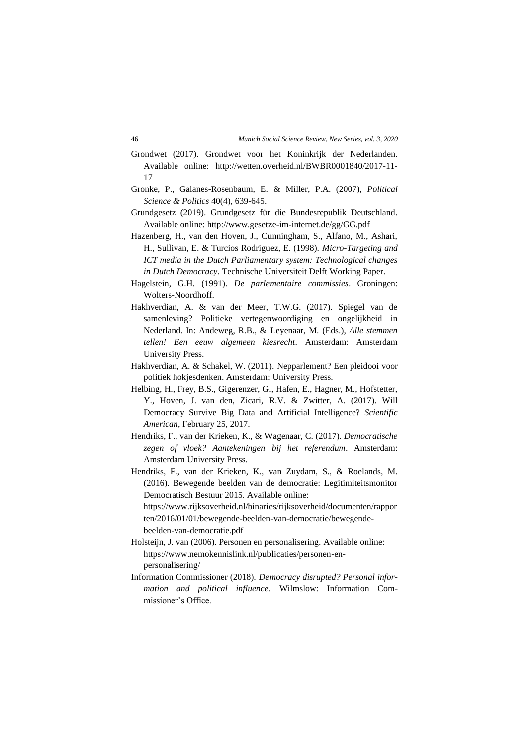- Grondwet (2017). Grondwet voor het Koninkrijk der Nederlanden. Available online: [http://wetten.overheid.nl/BWBR0001840/2017-11-](http://wetten.overheid.nl/BWBR0001840/2017-11-17) [17](http://wetten.overheid.nl/BWBR0001840/2017-11-17)
- Gronke, P., Galanes-Rosenbaum, E. & Miller, P.A. (2007), *Political Science & Politics* 40(4), 639-645.
- Grundgesetz (2019). Grundgesetz für die Bundesrepublik Deutschland. Available online:<http://www.gesetze-im-internet.de/gg/GG.pdf>
- Hazenberg, H., van den Hoven, J., Cunningham, S., Alfano, M., Ashari, H., Sullivan, E. & Turcios Rodriguez, E. (1998). *Micro-Targeting and ICT media in the Dutch Parliamentary system: Technological changes in Dutch Democracy*. Technische Universiteit Delft Working Paper.
- Hagelstein, G.H. (1991). *De parlementaire commissies*. Groningen: Wolters-Noordhoff.
- Hakhverdian, A. & van der Meer, T.W.G. (2017). Spiegel van de samenleving? Politieke vertegenwoordiging en ongelijkheid in Nederland. In: Andeweg, R.B., & Leyenaar, M. (Eds.), *Alle stemmen tellen! Een eeuw algemeen kiesrecht*. Amsterdam: Amsterdam University Press.
- Hakhverdian, A. & Schakel, W. (2011). Nepparlement? Een pleidooi voor politiek hokjesdenken. Amsterdam: University Press.
- Helbing, H., Frey, B.S., Gigerenzer, G., Hafen, E., Hagner, M., Hofstetter, Y., Hoven, J. van den, Zicari, R.V. & Zwitter, A. (2017). Will Democracy Survive Big Data and Artificial Intelligence? *Scientific American*, February 25, 2017.
- Hendriks, F., van der Krieken, K., & Wagenaar, C. (2017). *Democratische zegen of vloek? Aantekeningen bij het referendum*. Amsterdam: Amsterdam University Press.
- Hendriks, F., van der Krieken, K., van Zuydam, S., & Roelands, M. (2016). Bewegende beelden van de democratie: Legitimiteitsmonitor Democratisch Bestuur 2015. Available online:

[https://www.rijksoverheid.nl/binaries/rijksoverheid/documenten/rappor](https://www.rijksoverheid.nl/binaries/rijksoverheid/documenten/rapporten/2016/01/01/bewegende-beelden-van-democratie/bewegende-beelden-van-democratie.pdf) [ten/2016/01/01/bewegende-beelden-van-democratie/bewegende](https://www.rijksoverheid.nl/binaries/rijksoverheid/documenten/rapporten/2016/01/01/bewegende-beelden-van-democratie/bewegende-beelden-van-democratie.pdf)[beelden-van-democratie.pdf](https://www.rijksoverheid.nl/binaries/rijksoverheid/documenten/rapporten/2016/01/01/bewegende-beelden-van-democratie/bewegende-beelden-van-democratie.pdf)

- Holsteijn, J. van (2006). Personen en personalisering. Available online: [https://www.nemokennislink.nl/publicaties/personen-en](https://www.nemokennislink.nl/publicaties/personen-en-personalisering/)[personalisering/](https://www.nemokennislink.nl/publicaties/personen-en-personalisering/)
- Information Commissioner (2018). *Democracy disrupted? Personal information and political influence*. Wilmslow: Information Commissioner's Office.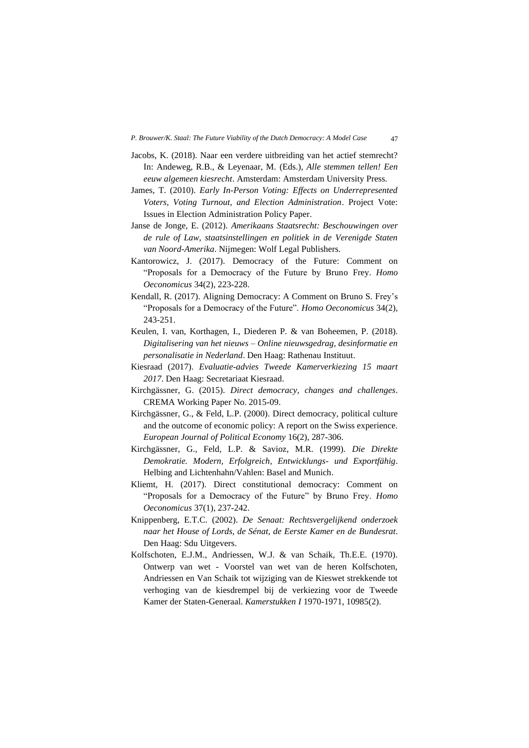- Jacobs, K. (2018). Naar een verdere uitbreiding van het actief stemrecht? In: Andeweg, R.B., & Leyenaar, M. (Eds.), *Alle stemmen tellen! Een eeuw algemeen kiesrecht*. Amsterdam: Amsterdam University Press.
- James, T. (2010). *Early In-Person Voting: Effects on Underrepresented Voters, Voting Turnout, and Election Administration*. Project Vote: Issues in Election Administration Policy Paper.
- Janse de Jonge, E. (2012). *Amerikaans Staatsrecht: Beschouwingen over de rule of Law, staatsinstellingen en politiek in de Verenigde Staten van Noord-Amerika*. Nijmegen: Wolf Legal Publishers.
- Kantorowicz, J. (2017). Democracy of the Future: Comment on "Proposals for a Democracy of the Future by Bruno Frey. *Homo Oeconomicus* 34(2), 223-228.
- Kendall, R. (2017). Aligning Democracy: A Comment on Bruno S. Frey's "Proposals for a Democracy of the Future". *Homo Oeconomicus* 34(2), 243-251.
- Keulen, I. van, Korthagen, I., Diederen P. & van Boheemen, P. (2018). *Digitalisering van het nieuws – Online nieuwsgedrag, desinformatie en personalisatie in Nederland*. Den Haag: Rathenau Instituut.
- Kiesraad (2017). *Evaluatie-advies Tweede Kamerverkiezing 15 maart 2017*. Den Haag: Secretariaat Kiesraad.
- Kirchgässner, G. (2015). *Direct democracy, changes and challenges*. CREMA Working Paper No. 2015-09.
- Kirchgässner, G., & Feld, L.P. (2000). Direct democracy, political culture and the outcome of economic policy: A report on the Swiss experience. *European Journal of Political Economy* 16(2), 287-306.
- Kirchgässner, G., Feld, L.P. & Savioz, M.R. (1999). *Die Direkte Demokratie. Modern, Erfolgreich, Entwicklungs- und Exportfähig*. Helbing and Lichtenhahn/Vahlen: Basel and Munich.
- Kliemt, H. (2017). Direct constitutional democracy: Comment on "Proposals for a Democracy of the Future" by Bruno Frey. *Homo Oeconomicus* 37(1), 237-242.
- Knippenberg, E.T.C. (2002). *De Senaat: Rechtsvergelijkend onderzoek naar het House of Lords, de Sénat, de Eerste Kamer en de Bundesrat*. Den Haag: Sdu Uitgevers.
- Kolfschoten, E.J.M., Andriessen, W.J. & van Schaik, Th.E.E. (1970). Ontwerp van wet - Voorstel van wet van de heren Kolfschoten, Andriessen en Van Schaik tot wijziging van de Kieswet strekkende tot verhoging van de kiesdrempel bij de verkiezing voor de Tweede Kamer der Staten-Generaal. *Kamerstukken I* 1970-1971, 10985(2).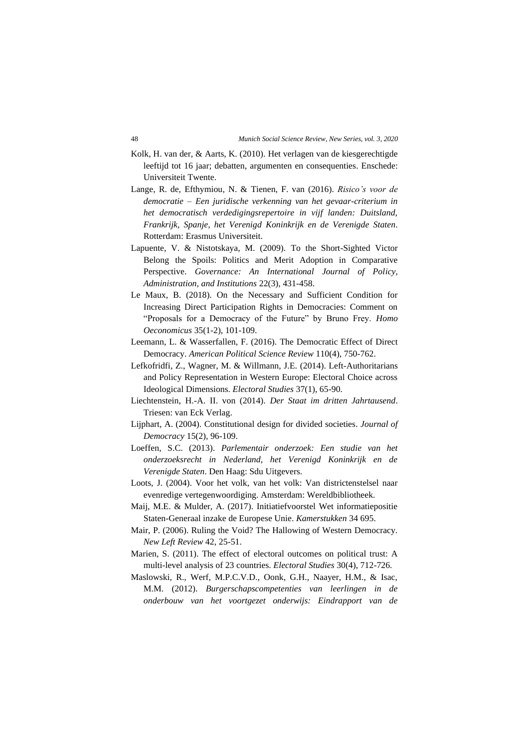- Kolk, H. van der, & Aarts, K. (2010). Het verlagen van de kiesgerechtigde leeftijd tot 16 jaar; debatten, argumenten en consequenties. Enschede: Universiteit Twente.
- Lange, R. de, Efthymiou, N. & Tienen, F. van (2016). *Risico's voor de democratie – Een juridische verkenning van het gevaar-criterium in het democratisch verdedigingsrepertoire in vijf landen: Duitsland, Frankrijk, Spanje, het Verenigd Koninkrijk en de Verenigde Staten*. Rotterdam: Erasmus Universiteit.
- Lapuente, V. & Nistotskaya, M. (2009). To the Short-Sighted Victor Belong the Spoils: Politics and Merit Adoption in Comparative Perspective. *Governance: An International Journal of Policy, Administration, and Institutions* 22(3), 431-458.
- Le Maux, B. (2018). On the Necessary and Sufficient Condition for Increasing Direct Participation Rights in Democracies: Comment on "Proposals for a Democracy of the Future" by Bruno Frey. *Homo Oeconomicus* 35(1-2), 101-109.
- Leemann, L. & Wasserfallen, F. (2016). The Democratic Effect of Direct Democracy. *American Political Science Review* 110(4), 750-762.
- Lefkofridfi, Z., Wagner, M. & Willmann, J.E. (2014). Left-Authoritarians and Policy Representation in Western Europe: Electoral Choice across Ideological Dimensions. *Electoral Studies* 37(1), 65-90.
- Liechtenstein, H.-A. II. von (2014). *Der Staat im dritten Jahrtausend*. Triesen: van Eck Verlag.
- Lijphart, A. (2004). Constitutional design for divided societies. *Journal of Democracy* 15(2), 96-109.
- Loeffen, S.C. (2013). *Parlementair onderzoek: Een studie van het onderzoeksrecht in Nederland, het Verenigd Koninkrijk en de Verenigde Staten*. Den Haag: Sdu Uitgevers.
- Loots, J. (2004). Voor het volk, van het volk: Van districtenstelsel naar evenredige vertegenwoordiging. Amsterdam: Wereldbibliotheek.
- Maij, M.E. & Mulder, A. (2017). Initiatiefvoorstel Wet informatiepositie Staten-Generaal inzake de Europese Unie. *Kamerstukken* 34 695.
- Mair, P. (2006). Ruling the Void? The Hallowing of Western Democracy. *New Left Review* 42, 25-51.
- Marien, S. (2011). The effect of electoral outcomes on political trust: A multi-level analysis of 23 countries. *Electoral Studies* 30(4), 712-726.
- Maslowski, R., Werf, M.P.C.V.D., Oonk, G.H., Naayer, H.M., & Isac, M.M. (2012). *Burgerschapscompetenties van leerlingen in de onderbouw van het voortgezet onderwijs: Eindrapport van de*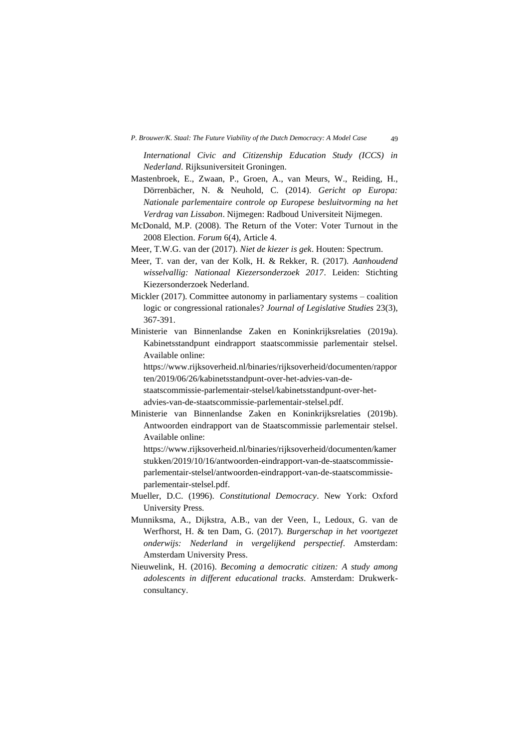*International Civic and Citizenship Education Study (ICCS) in Nederland*. Rijksuniversiteit Groningen.

- Mastenbroek, E., Zwaan, P., Groen, A., van Meurs, W., Reiding, H., Dörrenbächer, N. & Neuhold, C. (2014). *Gericht op Europa: Nationale parlementaire controle op Europese besluitvorming na het Verdrag van Lissabon*. Nijmegen: Radboud Universiteit Nijmegen.
- McDonald, M.P. (2008). The Return of the Voter: Voter Turnout in the 2008 Election. *Forum* 6(4), Article 4.
- Meer, T.W.G. van der (2017). *Niet de kiezer is gek*. Houten: Spectrum.
- Meer, T. van der, van der Kolk, H. & Rekker, R. (2017). *Aanhoudend wisselvallig: Nationaal Kiezersonderzoek 2017*. Leiden: Stichting Kiezersonderzoek Nederland.
- Mickler (2017). Committee autonomy in parliamentary systems coalition logic or congressional rationales? *Journal of Legislative Studies* 23(3), 367-391.
- Ministerie van Binnenlandse Zaken en Koninkrijksrelaties (2019a). Kabinetsstandpunt eindrapport staatscommissie parlementair stelsel. Available online:

[https://www.rijksoverheid.nl/binaries/rijksoverheid/documenten/rappor](https://www.rijksoverheid.nl/binaries/rijksoverheid/documenten/rapporten/2019/06/26/kabinetsstandpunt-over-het-advies-van-de-staatscommissie-parlementair-stelsel/kabinetsstandpunt-over-het-advies-van-de-staatscommissie-parlementair-stelsel.pdf) [ten/2019/06/26/kabinetsstandpunt-over-het-advies-van-de-](https://www.rijksoverheid.nl/binaries/rijksoverheid/documenten/rapporten/2019/06/26/kabinetsstandpunt-over-het-advies-van-de-staatscommissie-parlementair-stelsel/kabinetsstandpunt-over-het-advies-van-de-staatscommissie-parlementair-stelsel.pdf)

[staatscommissie-parlementair-stelsel/kabinetsstandpunt-over-het](https://www.rijksoverheid.nl/binaries/rijksoverheid/documenten/rapporten/2019/06/26/kabinetsstandpunt-over-het-advies-van-de-staatscommissie-parlementair-stelsel/kabinetsstandpunt-over-het-advies-van-de-staatscommissie-parlementair-stelsel.pdf)[advies-van-de-staatscommissie-parlementair-stelsel.pdf.](https://www.rijksoverheid.nl/binaries/rijksoverheid/documenten/rapporten/2019/06/26/kabinetsstandpunt-over-het-advies-van-de-staatscommissie-parlementair-stelsel/kabinetsstandpunt-over-het-advies-van-de-staatscommissie-parlementair-stelsel.pdf)

Ministerie van Binnenlandse Zaken en Koninkrijksrelaties (2019b). Antwoorden eindrapport van de Staatscommissie parlementair stelsel. Available online:

[https://www.rijksoverheid.nl/binaries/rijksoverheid/documenten/kamer](https://www.rijksoverheid.nl/binaries/rijksoverheid/documenten/kamerstukken/2019/10/16/antwoorden-eindrapport-van-de-staatscommissie-parlementair-stelsel/antwoorden-eindrapport-van-de-staatscommissie-parlementair-stelsel.pdf) [stukken/2019/10/16/antwoorden-eindrapport-van-de-staatscommissie](https://www.rijksoverheid.nl/binaries/rijksoverheid/documenten/kamerstukken/2019/10/16/antwoorden-eindrapport-van-de-staatscommissie-parlementair-stelsel/antwoorden-eindrapport-van-de-staatscommissie-parlementair-stelsel.pdf)[parlementair-stelsel/antwoorden-eindrapport-van-de-staatscommissie](https://www.rijksoverheid.nl/binaries/rijksoverheid/documenten/kamerstukken/2019/10/16/antwoorden-eindrapport-van-de-staatscommissie-parlementair-stelsel/antwoorden-eindrapport-van-de-staatscommissie-parlementair-stelsel.pdf)[parlementair-stelsel.pdf.](https://www.rijksoverheid.nl/binaries/rijksoverheid/documenten/kamerstukken/2019/10/16/antwoorden-eindrapport-van-de-staatscommissie-parlementair-stelsel/antwoorden-eindrapport-van-de-staatscommissie-parlementair-stelsel.pdf)

- Mueller, D.C. (1996). *Constitutional Democracy*. New York: Oxford University Press.
- Munniksma, A., Dijkstra, A.B., van der Veen, I., Ledoux, G. van de Werfhorst, H. & ten Dam, G. (2017). *Burgerschap in het voortgezet onderwijs: Nederland in vergelijkend perspectief*. Amsterdam: Amsterdam University Press.
- Nieuwelink, H. (2016). *Becoming a democratic citizen: A study among adolescents in different educational tracks*. Amsterdam: Drukwerkconsultancy.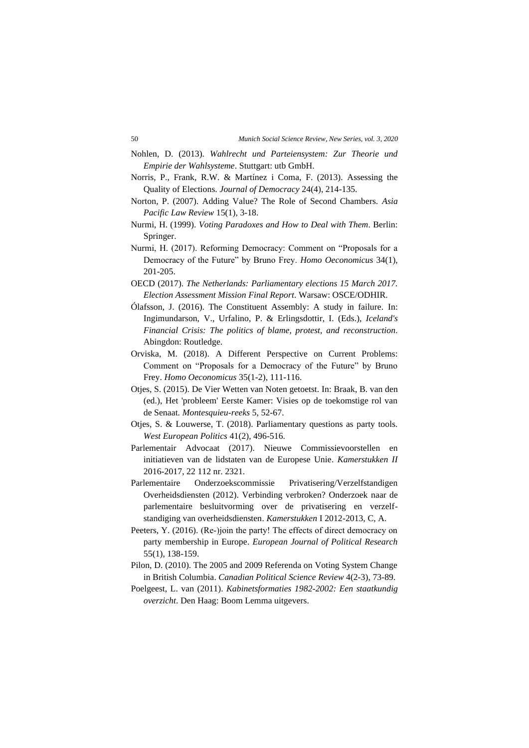- Nohlen, D. (2013). *Wahlrecht und Parteiensystem: Zur Theorie und Empirie der Wahlsysteme*. Stuttgart: utb GmbH.
- Norris, P., Frank, R.W. & Martínez i Coma, F. (2013). Assessing the Quality of Elections. *Journal of Democracy* 24(4), 214-135.
- Norton, P. (2007). Adding Value? The Role of Second Chambers. *Asia Pacific Law Review* 15(1), 3-18.
- Nurmi, H. (1999). *Voting Paradoxes and How to Deal with Them*. Berlin: Springer.
- Nurmi, H. (2017). Reforming Democracy: Comment on "Proposals for a Democracy of the Future" by Bruno Frey. *Homo Oeconomicus* 34(1), 201-205.
- OECD (2017). *The Netherlands: Parliamentary elections 15 March 2017. Election Assessment Mission Final Report*. Warsaw: OSCE/ODHIR.
- Ólafsson, J. (2016). The Constituent Assembly: A study in failure. In: Ingimundarson, V., Urfalino, P. & Erlingsdottir, I. (Eds.), *Iceland's Financial Crisis: The politics of blame, protest, and reconstruction*. Abingdon: Routledge.
- Orviska, M. (2018). A Different Perspective on Current Problems: Comment on "Proposals for a Democracy of the Future" by Bruno Frey. *Homo Oeconomicus* 35(1-2), 111-116.
- Otjes, S. (2015). De Vier Wetten van Noten getoetst. In: Braak, B. van den (ed.), Het 'probleem' Eerste Kamer: Visies op de toekomstige rol van de Senaat. *Montesquieu-reeks* 5, 52-67.
- Otjes, S. & Louwerse, T. (2018). Parliamentary questions as party tools. *West European Politics* 41(2), 496-516.
- Parlementair Advocaat (2017). Nieuwe Commissievoorstellen en initiatieven van de lidstaten van de Europese Unie. *Kamerstukken II* 2016-2017, 22 112 nr. 2321.
- Parlementaire Onderzoekscommissie Privatisering/Verzelfstandigen Overheidsdiensten (2012). Verbinding verbroken? Onderzoek naar de parlementaire besluitvorming over de privatisering en verzelfstandiging van overheidsdiensten. *Kamerstukken* I 2012-2013, C, A.
- Peeters, Y. (2016). (Re‐)join the party! The effects of direct democracy on party membership in Europe. *European Journal of Political Research* 55(1), 138-159.
- Pilon, D. (2010). The 2005 and 2009 Referenda on Voting System Change in British Columbia. *Canadian Political Science Review* 4(2-3), 73-89.
- Poelgeest, L. van (2011). *Kabinetsformaties 1982-2002: Een staatkundig overzicht*. Den Haag: Boom Lemma uitgevers.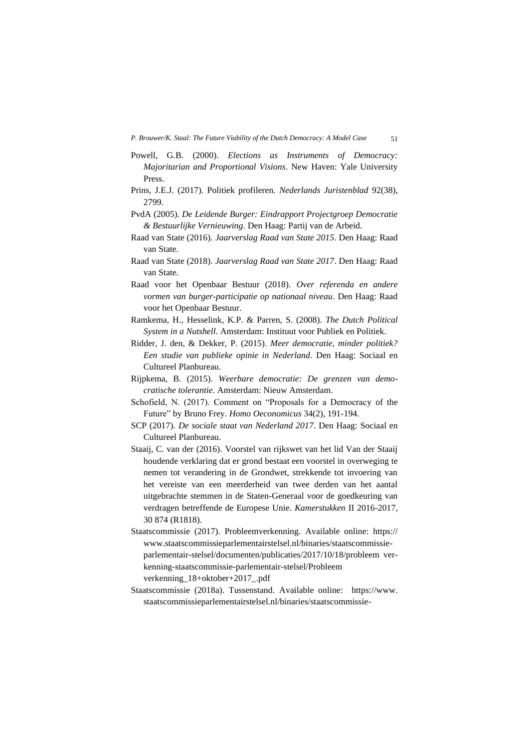- Powell, G.B. (2000). *Elections as Instruments of Democracy: Majoritarian and Proportional Visions*. New Haven: Yale University Press.
- Prins, J.E.J. (2017). Politiek profileren. *Nederlands Juristenblad* 92(38), 2799.
- PvdA (2005). *De Leidende Burger: Eindrapport Projectgroep Democratie & Bestuurlijke Vernieuwing*. Den Haag: Partij van de Arbeid.
- Raad van State (2016). *Jaarverslag Raad van State 2015*. Den Haag: Raad van State.
- Raad van State (2018). *Jaarverslag Raad van State 2017*. Den Haag: Raad van State.
- Raad voor het Openbaar Bestuur (2018). *Over referenda en andere vormen van burger-participatie op nationaal niveau*. Den Haag: Raad voor het Openbaar Bestuur.
- Ramkema, H., Hesselink, K.P. & Parren, S. (2008). *The Dutch Political System in a Nutshell*. Amsterdam: Instituut voor Publiek en Politiek.
- Ridder, J. den, & Dekker, P. (2015). *Meer democratie, minder politiek? Een studie van publieke opinie in Nederland*. Den Haag: Sociaal en Cultureel Planbureau.
- Rijpkema, B. (2015). *Weerbare democratie: De grenzen van democratische tolerantie*. Amsterdam: Nieuw Amsterdam.
- Schofield, N. (2017). Comment on "Proposals for a Democracy of the Future" by Bruno Frey. *Homo Oeconomicus* 34(2), 191-194.
- SCP (2017). *De sociale staat van Nederland 2017*. Den Haag: Sociaal en Cultureel Planbureau.
- Staaij, C. van der (2016). Voorstel van rijkswet van het lid Van der Staaij houdende verklaring dat er grond bestaat een voorstel in overweging te nemen tot verandering in de Grondwet, strekkende tot invoering van het vereiste van een meerderheid van twee derden van het aantal uitgebrachte stemmen in de Staten-Generaal voor de goedkeuring van verdragen betreffende de Europese Unie. *Kamerstukken* II 2016-2017, 30 874 (R1818).
- Staatscommissie (2017). Probleemverkenning. Available online: https:// www.staatscommissieparlementairstelsel.nl/binaries/staatscommissieparlementair-stelsel/documenten/publicaties/2017/10/18/probleem verkenning-staatscommissie-parlementair-stelsel/Probleem verkenning\_18+oktober+2017\_.pdf
- Staatscommissie (2018a). Tussenstand. Available online: https://www. staatscommissieparlementairstelsel.nl/binaries/staatscommissie-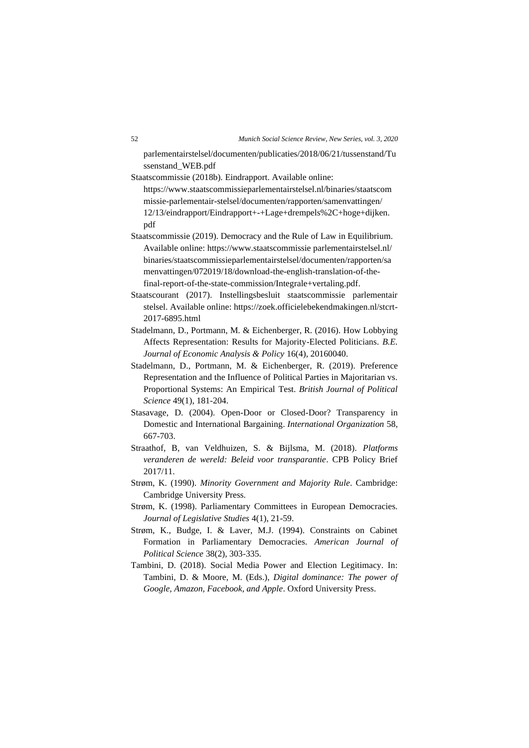parlementairstelsel/documenten/publicaties/2018/06/21/tussenstand/Tu ssenstand\_WEB.pdf

- Staatscommissie (2018b). Eindrapport. Available online: [https://www.staatscommissieparlementairstelsel.nl/binaries/staatscom](https://www.staatscommissieparlementairstelsel.nl/binaries/staatscommissie-parlementair-stelsel/documenten/rapporten/samenvattingen/%2012/13/eindrapport/Eindrapport+-+Lage+drempels%2C+hoge+dijken.%20pdf) [missie-parlementair-stelsel/documenten/rapporten/samenvattingen/](https://www.staatscommissieparlementairstelsel.nl/binaries/staatscommissie-parlementair-stelsel/documenten/rapporten/samenvattingen/%2012/13/eindrapport/Eindrapport+-+Lage+drempels%2C+hoge+dijken.%20pdf) [12/13/eindrapport/Eindrapport+-+Lage+drempels%2C+hoge+dijken.](https://www.staatscommissieparlementairstelsel.nl/binaries/staatscommissie-parlementair-stelsel/documenten/rapporten/samenvattingen/%2012/13/eindrapport/Eindrapport+-+Lage+drempels%2C+hoge+dijken.%20pdf) [pdf](https://www.staatscommissieparlementairstelsel.nl/binaries/staatscommissie-parlementair-stelsel/documenten/rapporten/samenvattingen/%2012/13/eindrapport/Eindrapport+-+Lage+drempels%2C+hoge+dijken.%20pdf)
- Staatscommissie (2019). Democracy and the Rule of Law in Equilibrium. Available online: https://www.staatscommissie parlementairstelsel.nl/ binaries/staatscommissieparlementairstelsel/documenten/rapporten/sa menvattingen/072019/18/download-the-english-translation-of-thefinal-report-of-the-state-commission/Integrale+vertaling.pdf.
- Staatscourant (2017). Instellingsbesluit staatscommissie parlementair stelsel. Available online: [https://zoek.officielebekendmakingen.nl/stcrt-](https://zoek.officielebekendmakingen.nl/stcrt-2017-6895.html)[2017-6895.html](https://zoek.officielebekendmakingen.nl/stcrt-2017-6895.html)
- Stadelmann, D., Portmann, M. & Eichenberger, R. (2016). How Lobbying Affects Representation: Results for Majority-Elected Politicians. *B.E. Journal of Economic Analysis & Policy* 16(4), 20160040.
- Stadelmann, D., Portmann, M. & Eichenberger, R. (2019). Preference Representation and the Influence of Political Parties in Majoritarian vs. Proportional Systems: An Empirical Test. *British Journal of Political Science* 49(1), 181-204.
- Stasavage, D. (2004). Open-Door or Closed-Door? Transparency in Domestic and International Bargaining. *International Organization* 58, 667-703.
- Straathof, B, van Veldhuizen, S. & Bijlsma, M. (2018). *Platforms veranderen de wereld: Beleid voor transparantie*. CPB Policy Brief 2017/11.
- Strøm, K. (1990). *Minority Government and Majority Rule*. Cambridge: Cambridge University Press.
- Strøm, K. (1998). Parliamentary Committees in European Democracies. *Journal of Legislative Studies* 4(1), 21-59.
- Strøm, K., Budge, I. & Laver, M.J. (1994). Constraints on Cabinet Formation in Parliamentary Democracies. *American Journal of Political Science* 38(2), 303-335.
- Tambini, D. (2018). Social Media Power and Election Legitimacy. In: Tambini, D. & Moore, M. (Eds.), *Digital dominance: The power of Google, Amazon, Facebook, and Apple*. Oxford University Press.